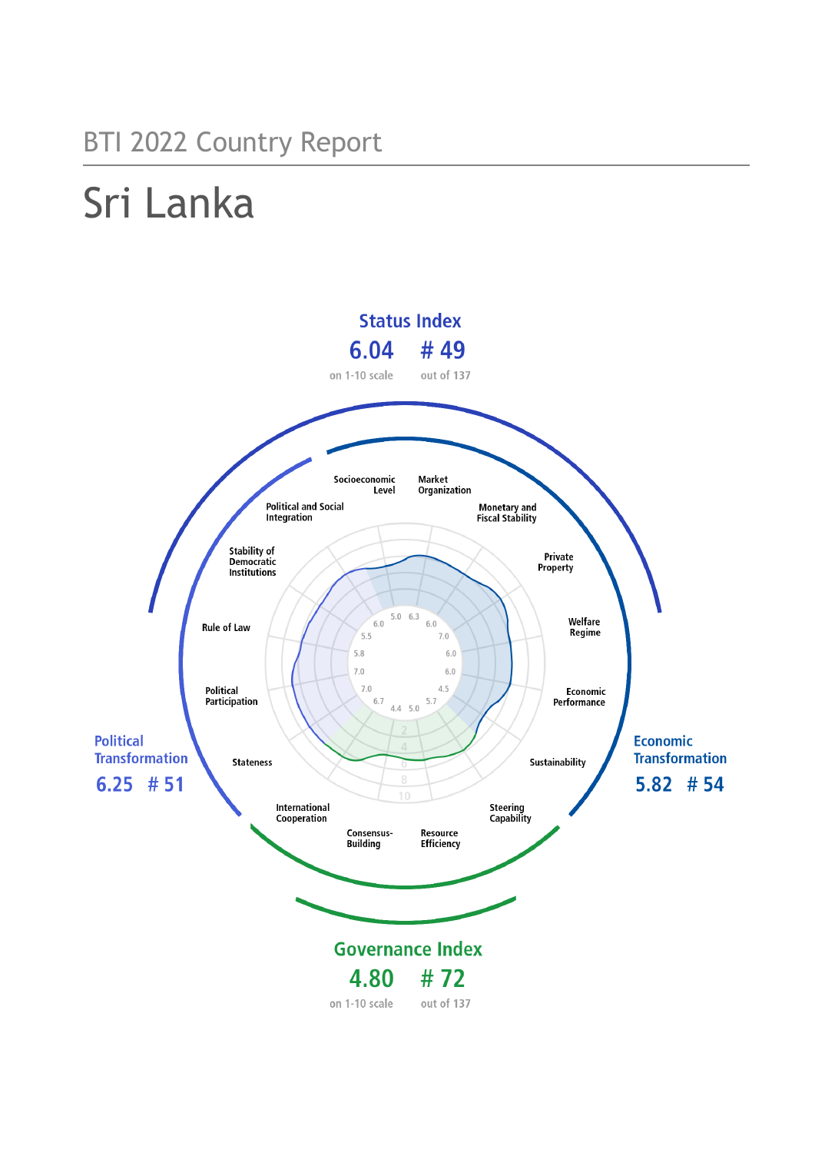## BTI 2022 Country Report

# Sri Lanka

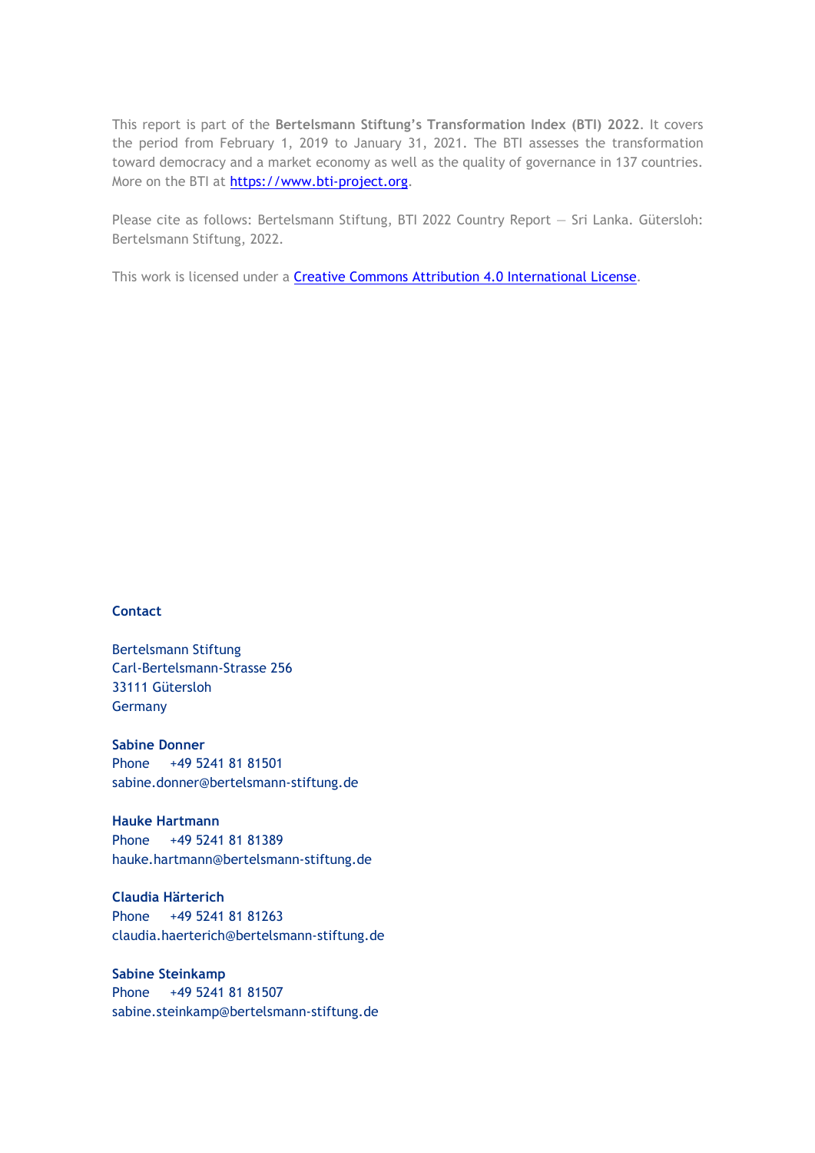This report is part of the **Bertelsmann Stiftung's Transformation Index (BTI) 2022**. It covers the period from February 1, 2019 to January 31, 2021. The BTI assesses the transformation toward democracy and a market economy as well as the quality of governance in 137 countries. More on the BTI at [https://www.bti-project.org.](https://www.bti-project.org/)

Please cite as follows: Bertelsmann Stiftung, BTI 2022 Country Report — Sri Lanka. Gütersloh: Bertelsmann Stiftung, 2022.

This work is licensed under a **Creative Commons Attribution 4.0 International License**.

#### **Contact**

Bertelsmann Stiftung Carl-Bertelsmann-Strasse 256 33111 Gütersloh Germany

**Sabine Donner** Phone +49 5241 81 81501 sabine.donner@bertelsmann-stiftung.de

**Hauke Hartmann** Phone +49 5241 81 81389 hauke.hartmann@bertelsmann-stiftung.de

**Claudia Härterich** Phone +49 5241 81 81263 claudia.haerterich@bertelsmann-stiftung.de

#### **Sabine Steinkamp** Phone +49 5241 81 81507 sabine.steinkamp@bertelsmann-stiftung.de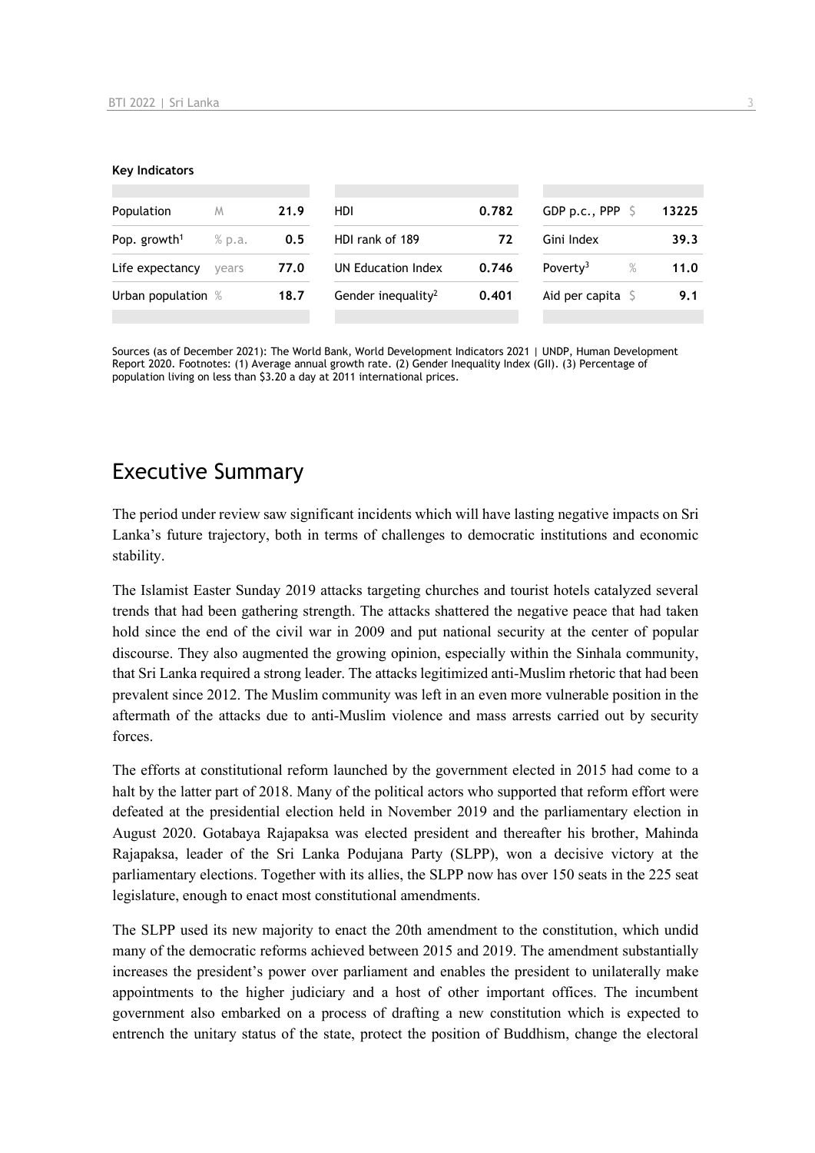#### **Key Indicators**

| Population               | M      | 21.9 | <b>HDI</b>                     | 0.782 | GDP p.c., PPP $\ S$          | 13225 |
|--------------------------|--------|------|--------------------------------|-------|------------------------------|-------|
| Pop. growth <sup>1</sup> | % p.a. | 0.5  | HDI rank of 189                | 72    | Gini Index                   | 39.3  |
| Life expectancy          | vears  | 77.0 | UN Education Index             | 0.746 | Poverty <sup>3</sup><br>$\%$ | 11.0  |
| Urban population %       |        | 18.7 | Gender inequality <sup>2</sup> | 0.401 | Aid per capita $\mathsf S$   | 9.1   |
|                          |        |      |                                |       |                              |       |

Sources (as of December 2021): The World Bank, World Development Indicators 2021 | UNDP, Human Development Report 2020. Footnotes: (1) Average annual growth rate. (2) Gender Inequality Index (GII). (3) Percentage of population living on less than \$3.20 a day at 2011 international prices.

## Executive Summary

The period under review saw significant incidents which will have lasting negative impacts on Sri Lanka's future trajectory, both in terms of challenges to democratic institutions and economic stability.

The Islamist Easter Sunday 2019 attacks targeting churches and tourist hotels catalyzed several trends that had been gathering strength. The attacks shattered the negative peace that had taken hold since the end of the civil war in 2009 and put national security at the center of popular discourse. They also augmented the growing opinion, especially within the Sinhala community, that Sri Lanka required a strong leader. The attacks legitimized anti-Muslim rhetoric that had been prevalent since 2012. The Muslim community was left in an even more vulnerable position in the aftermath of the attacks due to anti-Muslim violence and mass arrests carried out by security forces.

The efforts at constitutional reform launched by the government elected in 2015 had come to a halt by the latter part of 2018. Many of the political actors who supported that reform effort were defeated at the presidential election held in November 2019 and the parliamentary election in August 2020. Gotabaya Rajapaksa was elected president and thereafter his brother, Mahinda Rajapaksa, leader of the Sri Lanka Podujana Party (SLPP), won a decisive victory at the parliamentary elections. Together with its allies, the SLPP now has over 150 seats in the 225 seat legislature, enough to enact most constitutional amendments.

The SLPP used its new majority to enact the 20th amendment to the constitution, which undid many of the democratic reforms achieved between 2015 and 2019. The amendment substantially increases the president's power over parliament and enables the president to unilaterally make appointments to the higher judiciary and a host of other important offices. The incumbent government also embarked on a process of drafting a new constitution which is expected to entrench the unitary status of the state, protect the position of Buddhism, change the electoral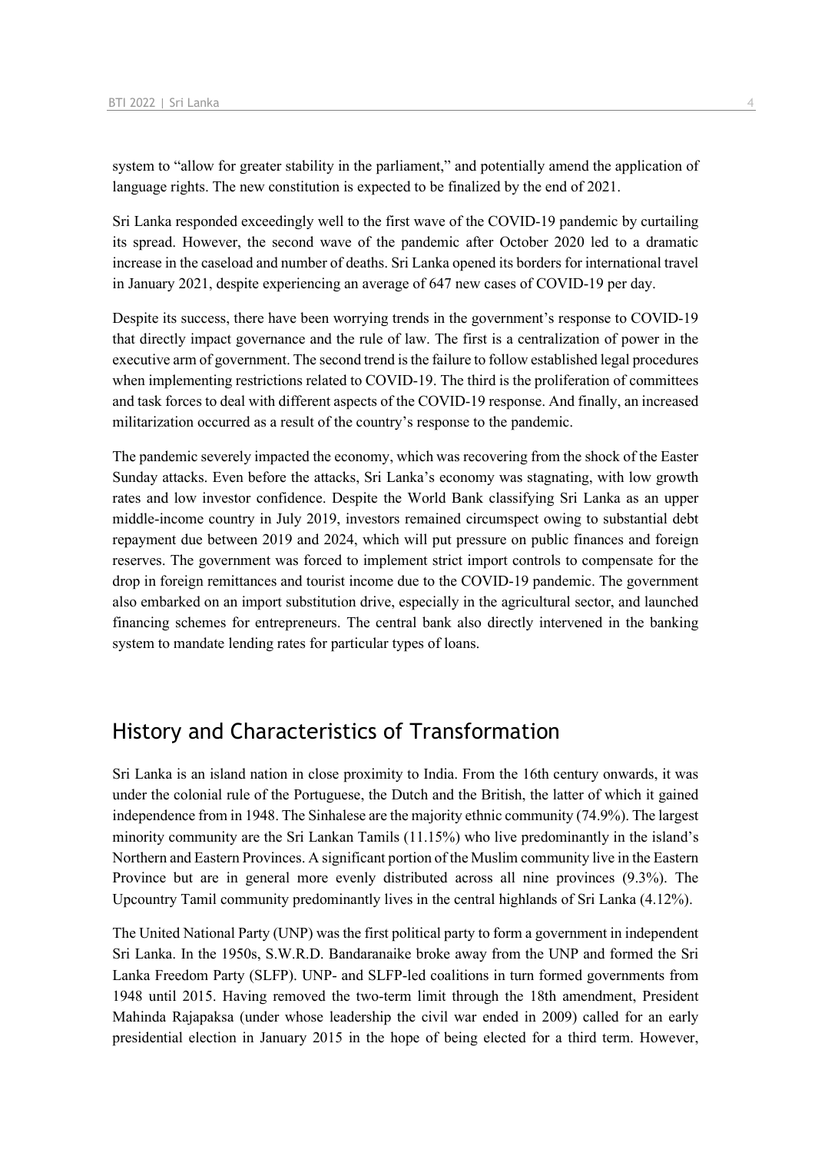system to "allow for greater stability in the parliament," and potentially amend the application of language rights. The new constitution is expected to be finalized by the end of 2021.

Sri Lanka responded exceedingly well to the first wave of the COVID-19 pandemic by curtailing its spread. However, the second wave of the pandemic after October 2020 led to a dramatic increase in the caseload and number of deaths. Sri Lanka opened its borders for international travel in January 2021, despite experiencing an average of 647 new cases of COVID-19 per day.

Despite its success, there have been worrying trends in the government's response to COVID-19 that directly impact governance and the rule of law. The first is a centralization of power in the executive arm of government. The second trend is the failure to follow established legal procedures when implementing restrictions related to COVID-19. The third is the proliferation of committees and task forces to deal with different aspects of the COVID-19 response. And finally, an increased militarization occurred as a result of the country's response to the pandemic.

The pandemic severely impacted the economy, which was recovering from the shock of the Easter Sunday attacks. Even before the attacks, Sri Lanka's economy was stagnating, with low growth rates and low investor confidence. Despite the World Bank classifying Sri Lanka as an upper middle-income country in July 2019, investors remained circumspect owing to substantial debt repayment due between 2019 and 2024, which will put pressure on public finances and foreign reserves. The government was forced to implement strict import controls to compensate for the drop in foreign remittances and tourist income due to the COVID-19 pandemic. The government also embarked on an import substitution drive, especially in the agricultural sector, and launched financing schemes for entrepreneurs. The central bank also directly intervened in the banking system to mandate lending rates for particular types of loans.

## History and Characteristics of Transformation

Sri Lanka is an island nation in close proximity to India. From the 16th century onwards, it was under the colonial rule of the Portuguese, the Dutch and the British, the latter of which it gained independence from in 1948. The Sinhalese are the majority ethnic community (74.9%). The largest minority community are the Sri Lankan Tamils (11.15%) who live predominantly in the island's Northern and Eastern Provinces. A significant portion of the Muslim community live in the Eastern Province but are in general more evenly distributed across all nine provinces (9.3%). The Upcountry Tamil community predominantly lives in the central highlands of Sri Lanka (4.12%).

The United National Party (UNP) was the first political party to form a government in independent Sri Lanka. In the 1950s, S.W.R.D. Bandaranaike broke away from the UNP and formed the Sri Lanka Freedom Party (SLFP). UNP- and SLFP-led coalitions in turn formed governments from 1948 until 2015. Having removed the two-term limit through the 18th amendment, President Mahinda Rajapaksa (under whose leadership the civil war ended in 2009) called for an early presidential election in January 2015 in the hope of being elected for a third term. However,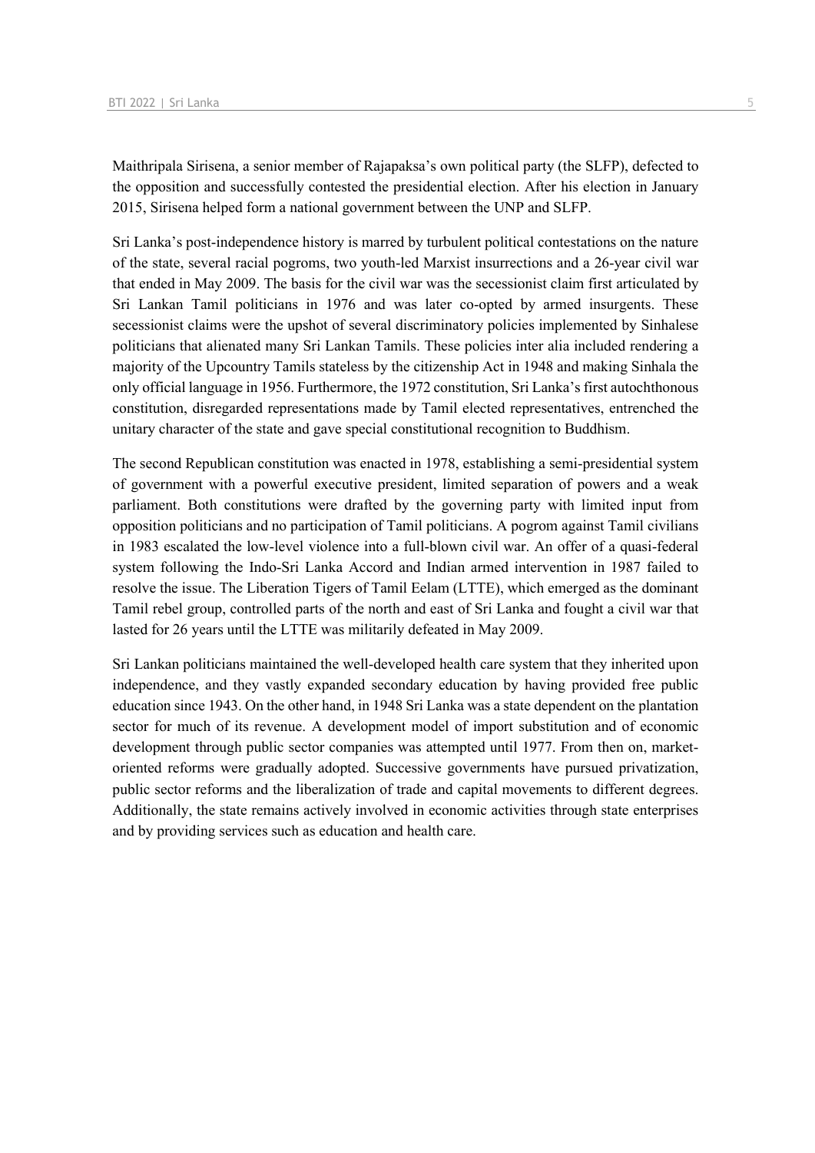Maithripala Sirisena, a senior member of Rajapaksa's own political party (the SLFP), defected to the opposition and successfully contested the presidential election. After his election in January 2015, Sirisena helped form a national government between the UNP and SLFP.

Sri Lanka's post-independence history is marred by turbulent political contestations on the nature of the state, several racial pogroms, two youth-led Marxist insurrections and a 26-year civil war that ended in May 2009. The basis for the civil war was the secessionist claim first articulated by Sri Lankan Tamil politicians in 1976 and was later co-opted by armed insurgents. These secessionist claims were the upshot of several discriminatory policies implemented by Sinhalese politicians that alienated many Sri Lankan Tamils. These policies inter alia included rendering a majority of the Upcountry Tamils stateless by the citizenship Act in 1948 and making Sinhala the only official language in 1956. Furthermore, the 1972 constitution, Sri Lanka's first autochthonous constitution, disregarded representations made by Tamil elected representatives, entrenched the unitary character of the state and gave special constitutional recognition to Buddhism.

The second Republican constitution was enacted in 1978, establishing a semi-presidential system of government with a powerful executive president, limited separation of powers and a weak parliament. Both constitutions were drafted by the governing party with limited input from opposition politicians and no participation of Tamil politicians. A pogrom against Tamil civilians in 1983 escalated the low-level violence into a full-blown civil war. An offer of a quasi-federal system following the Indo-Sri Lanka Accord and Indian armed intervention in 1987 failed to resolve the issue. The Liberation Tigers of Tamil Eelam (LTTE), which emerged as the dominant Tamil rebel group, controlled parts of the north and east of Sri Lanka and fought a civil war that lasted for 26 years until the LTTE was militarily defeated in May 2009.

Sri Lankan politicians maintained the well-developed health care system that they inherited upon independence, and they vastly expanded secondary education by having provided free public education since 1943. On the other hand, in 1948 Sri Lanka was a state dependent on the plantation sector for much of its revenue. A development model of import substitution and of economic development through public sector companies was attempted until 1977. From then on, marketoriented reforms were gradually adopted. Successive governments have pursued privatization, public sector reforms and the liberalization of trade and capital movements to different degrees. Additionally, the state remains actively involved in economic activities through state enterprises and by providing services such as education and health care.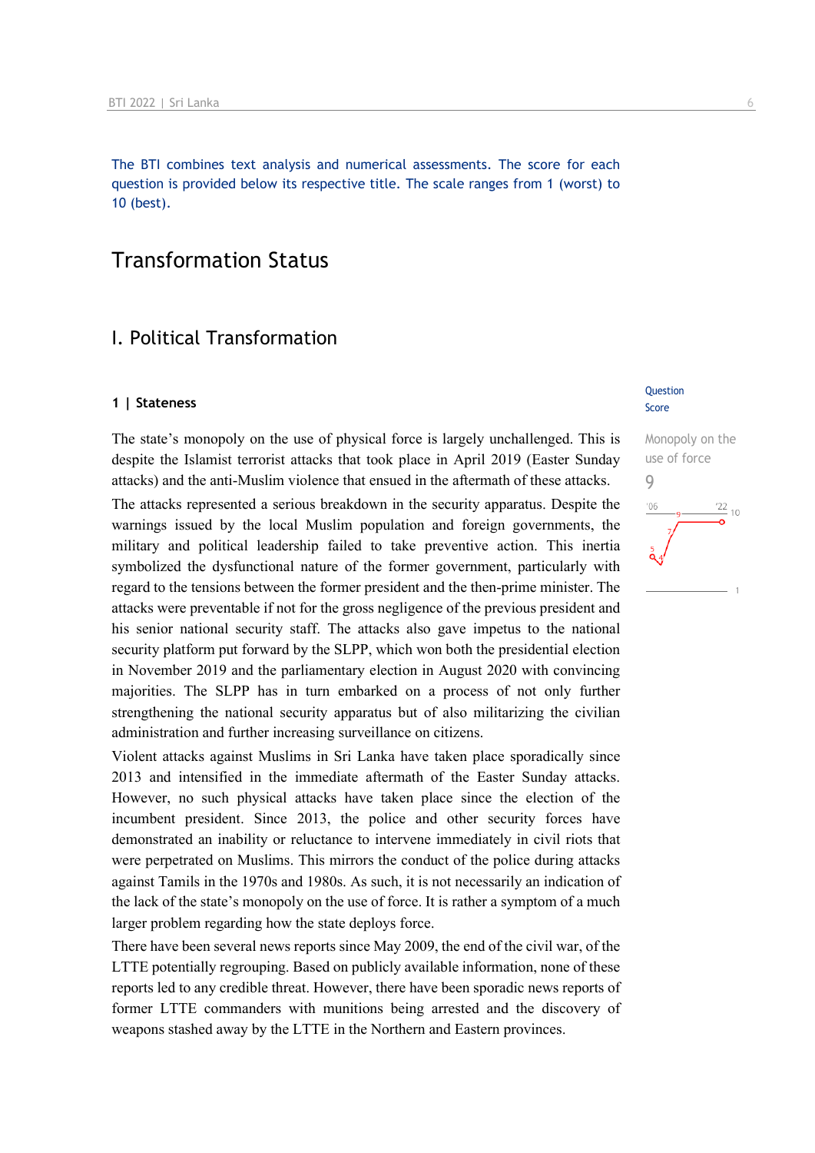The BTI combines text analysis and numerical assessments. The score for each question is provided below its respective title. The scale ranges from 1 (worst) to 10 (best).

## Transformation Status

## I. Political Transformation

#### **1 | Stateness**

The state's monopoly on the use of physical force is largely unchallenged. This is despite the Islamist terrorist attacks that took place in April 2019 (Easter Sunday attacks) and the anti-Muslim violence that ensued in the aftermath of these attacks.

The attacks represented a serious breakdown in the security apparatus. Despite the warnings issued by the local Muslim population and foreign governments, the military and political leadership failed to take preventive action. This inertia symbolized the dysfunctional nature of the former government, particularly with regard to the tensions between the former president and the then-prime minister. The attacks were preventable if not for the gross negligence of the previous president and his senior national security staff. The attacks also gave impetus to the national security platform put forward by the SLPP, which won both the presidential election in November 2019 and the parliamentary election in August 2020 with convincing majorities. The SLPP has in turn embarked on a process of not only further strengthening the national security apparatus but of also militarizing the civilian administration and further increasing surveillance on citizens.

Violent attacks against Muslims in Sri Lanka have taken place sporadically since 2013 and intensified in the immediate aftermath of the Easter Sunday attacks. However, no such physical attacks have taken place since the election of the incumbent president. Since 2013, the police and other security forces have demonstrated an inability or reluctance to intervene immediately in civil riots that were perpetrated on Muslims. This mirrors the conduct of the police during attacks against Tamils in the 1970s and 1980s. As such, it is not necessarily an indication of the lack of the state's monopoly on the use of force. It is rather a symptom of a much larger problem regarding how the state deploys force.

There have been several news reports since May 2009, the end of the civil war, of the LTTE potentially regrouping. Based on publicly available information, none of these reports led to any credible threat. However, there have been sporadic news reports of former LTTE commanders with munitions being arrested and the discovery of weapons stashed away by the LTTE in the Northern and Eastern provinces.

#### Question Score

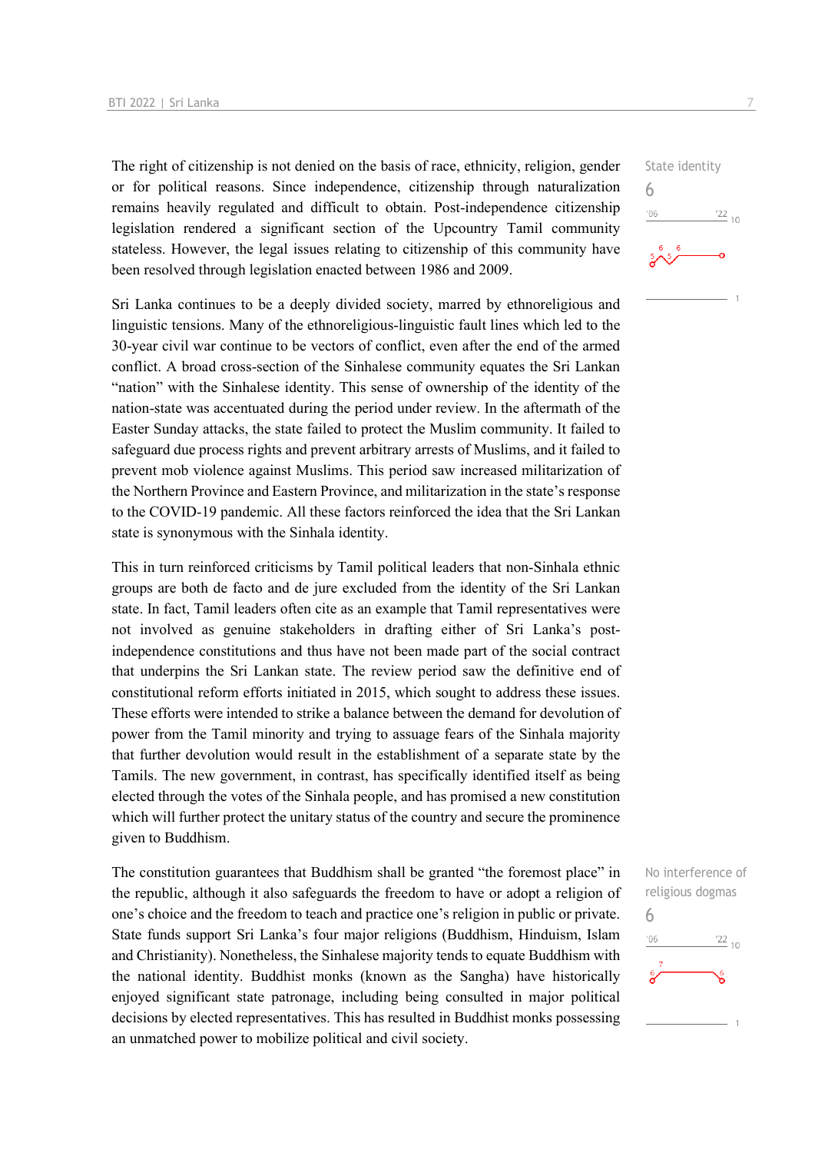The right of citizenship is not denied on the basis of race, ethnicity, religion, gender or for political reasons. Since independence, citizenship through naturalization remains heavily regulated and difficult to obtain. Post-independence citizenship legislation rendered a significant section of the Upcountry Tamil community stateless. However, the legal issues relating to citizenship of this community have been resolved through legislation enacted between 1986 and 2009.

Sri Lanka continues to be a deeply divided society, marred by ethnoreligious and linguistic tensions. Many of the ethnoreligious-linguistic fault lines which led to the 30-year civil war continue to be vectors of conflict, even after the end of the armed conflict. A broad cross-section of the Sinhalese community equates the Sri Lankan "nation" with the Sinhalese identity. This sense of ownership of the identity of the nation-state was accentuated during the period under review. In the aftermath of the Easter Sunday attacks, the state failed to protect the Muslim community. It failed to safeguard due process rights and prevent arbitrary arrests of Muslims, and it failed to prevent mob violence against Muslims. This period saw increased militarization of the Northern Province and Eastern Province, and militarization in the state's response to the COVID-19 pandemic. All these factors reinforced the idea that the Sri Lankan state is synonymous with the Sinhala identity.

This in turn reinforced criticisms by Tamil political leaders that non-Sinhala ethnic groups are both de facto and de jure excluded from the identity of the Sri Lankan state. In fact, Tamil leaders often cite as an example that Tamil representatives were not involved as genuine stakeholders in drafting either of Sri Lanka's postindependence constitutions and thus have not been made part of the social contract that underpins the Sri Lankan state. The review period saw the definitive end of constitutional reform efforts initiated in 2015, which sought to address these issues. These efforts were intended to strike a balance between the demand for devolution of power from the Tamil minority and trying to assuage fears of the Sinhala majority that further devolution would result in the establishment of a separate state by the Tamils. The new government, in contrast, has specifically identified itself as being elected through the votes of the Sinhala people, and has promised a new constitution which will further protect the unitary status of the country and secure the prominence given to Buddhism.

The constitution guarantees that Buddhism shall be granted "the foremost place" in the republic, although it also safeguards the freedom to have or adopt a religion of one's choice and the freedom to teach and practice one's religion in public or private. State funds support Sri Lanka's four major religions (Buddhism, Hinduism, Islam and Christianity). Nonetheless, the Sinhalese majority tends to equate Buddhism with the national identity. Buddhist monks (known as the Sangha) have historically enjoyed significant state patronage, including being consulted in major political decisions by elected representatives. This has resulted in Buddhist monks possessing an unmatched power to mobilize political and civil society.



State identity 6  $\frac{22}{10}$  $106$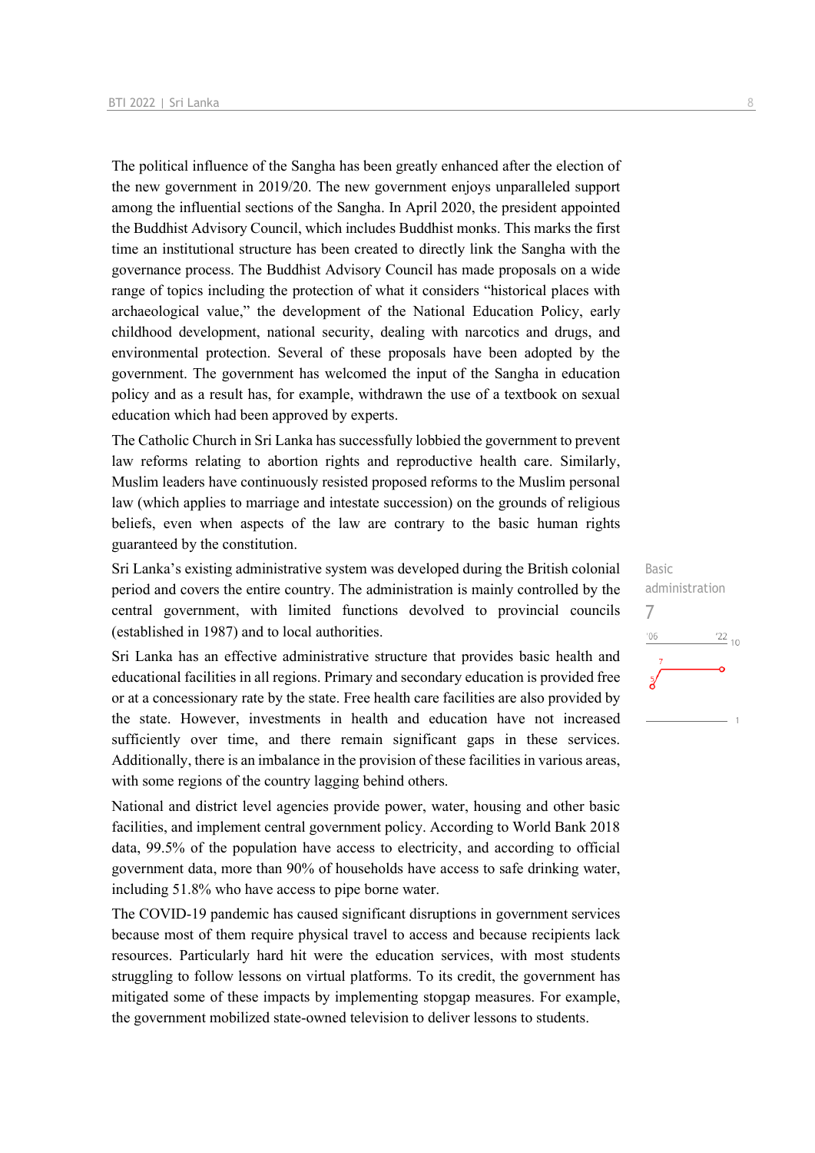The political influence of the Sangha has been greatly enhanced after the election of the new government in 2019/20. The new government enjoys unparalleled support among the influential sections of the Sangha. In April 2020, the president appointed the Buddhist Advisory Council, which includes Buddhist monks. This marks the first time an institutional structure has been created to directly link the Sangha with the governance process. The Buddhist Advisory Council has made proposals on a wide range of topics including the protection of what it considers "historical places with archaeological value," the development of the National Education Policy, early childhood development, national security, dealing with narcotics and drugs, and environmental protection. Several of these proposals have been adopted by the government. The government has welcomed the input of the Sangha in education policy and as a result has, for example, withdrawn the use of a textbook on sexual education which had been approved by experts.

The Catholic Church in Sri Lanka has successfully lobbied the government to prevent law reforms relating to abortion rights and reproductive health care. Similarly, Muslim leaders have continuously resisted proposed reforms to the Muslim personal law (which applies to marriage and intestate succession) on the grounds of religious beliefs, even when aspects of the law are contrary to the basic human rights guaranteed by the constitution.

Sri Lanka's existing administrative system was developed during the British colonial period and covers the entire country. The administration is mainly controlled by the central government, with limited functions devolved to provincial councils (established in 1987) and to local authorities.

Sri Lanka has an effective administrative structure that provides basic health and educational facilities in all regions. Primary and secondary education is provided free or at a concessionary rate by the state. Free health care facilities are also provided by the state. However, investments in health and education have not increased sufficiently over time, and there remain significant gaps in these services. Additionally, there is an imbalance in the provision of these facilities in various areas, with some regions of the country lagging behind others.

National and district level agencies provide power, water, housing and other basic facilities, and implement central government policy. According to World Bank 2018 data, 99.5% of the population have access to electricity, and according to official government data, more than 90% of households have access to safe drinking water, including 51.8% who have access to pipe borne water.

The COVID-19 pandemic has caused significant disruptions in government services because most of them require physical travel to access and because recipients lack resources. Particularly hard hit were the education services, with most students struggling to follow lessons on virtual platforms. To its credit, the government has mitigated some of these impacts by implementing stopgap measures. For example, the government mobilized state-owned television to deliver lessons to students.

Basic administration 7 $-06$  $\frac{22}{10}$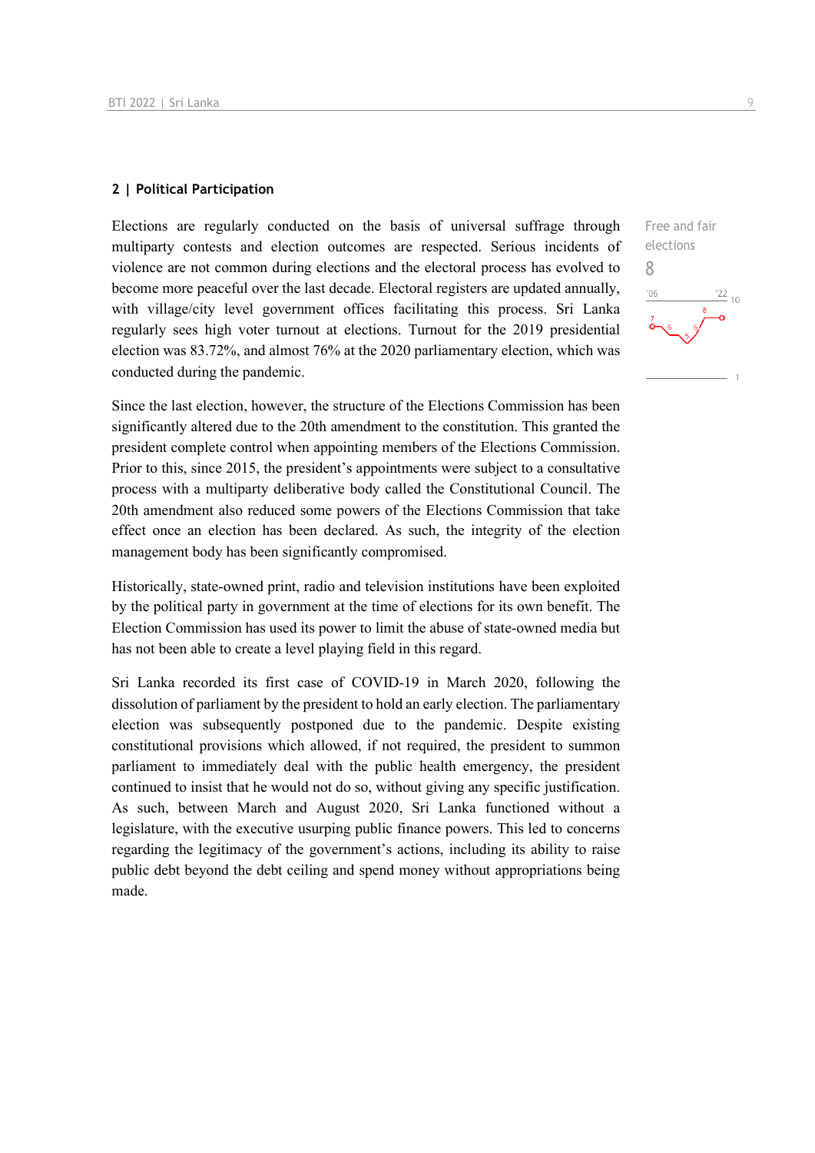#### **2 | Political Participation**

Elections are regularly conducted on the basis of universal suffrage through multiparty contests and election outcomes are respected. Serious incidents of violence are not common during elections and the electoral process has evolved to become more peaceful over the last decade. Electoral registers are updated annually, with village/city level government offices facilitating this process. Sri Lanka regularly sees high voter turnout at elections. Turnout for the 2019 presidential election was 83.72%, and almost 76% at the 2020 parliamentary election, which was conducted during the pandemic.

Since the last election, however, the structure of the Elections Commission has been significantly altered due to the 20th amendment to the constitution. This granted the president complete control when appointing members of the Elections Commission. Prior to this, since 2015, the president's appointments were subject to a consultative process with a multiparty deliberative body called the Constitutional Council. The 20th amendment also reduced some powers of the Elections Commission that take effect once an election has been declared. As such, the integrity of the election management body has been significantly compromised.

Historically, state-owned print, radio and television institutions have been exploited by the political party in government at the time of elections for its own benefit. The Election Commission has used its power to limit the abuse of state-owned media but has not been able to create a level playing field in this regard.

Sri Lanka recorded its first case of COVID-19 in March 2020, following the dissolution of parliament by the president to hold an early election. The parliamentary election was subsequently postponed due to the pandemic. Despite existing constitutional provisions which allowed, if not required, the president to summon parliament to immediately deal with the public health emergency, the president continued to insist that he would not do so, without giving any specific justification. As such, between March and August 2020, Sri Lanka functioned without a legislature, with the executive usurping public finance powers. This led to concerns regarding the legitimacy of the government's actions, including its ability to raise public debt beyond the debt ceiling and spend money without appropriations being made.

Free and fair elections 8 $\frac{22}{10}$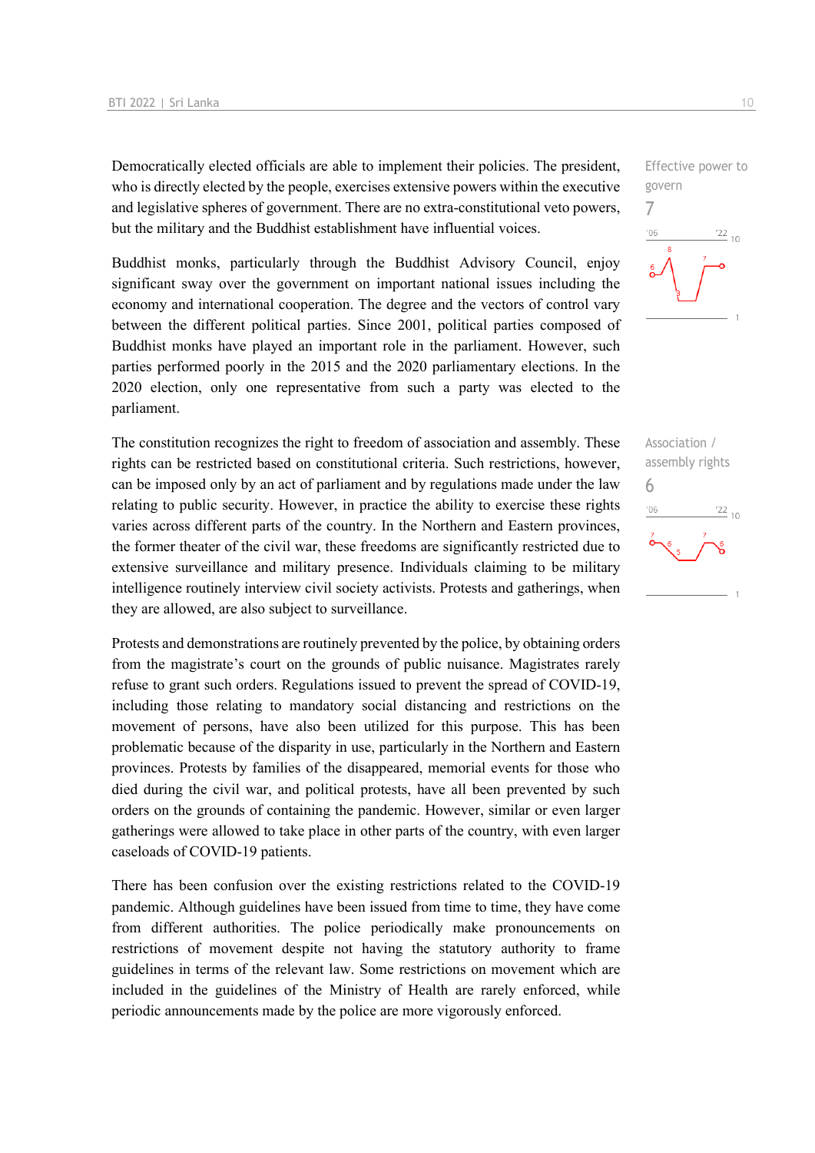Democratically elected officials are able to implement their policies. The president, who is directly elected by the people, exercises extensive powers within the executive and legislative spheres of government. There are no extra-constitutional veto powers, but the military and the Buddhist establishment have influential voices.

Buddhist monks, particularly through the Buddhist Advisory Council, enjoy significant sway over the government on important national issues including the economy and international cooperation. The degree and the vectors of control vary between the different political parties. Since 2001, political parties composed of Buddhist monks have played an important role in the parliament. However, such parties performed poorly in the 2015 and the 2020 parliamentary elections. In the 2020 election, only one representative from such a party was elected to the parliament.

The constitution recognizes the right to freedom of association and assembly. These rights can be restricted based on constitutional criteria. Such restrictions, however, can be imposed only by an act of parliament and by regulations made under the law relating to public security. However, in practice the ability to exercise these rights varies across different parts of the country. In the Northern and Eastern provinces, the former theater of the civil war, these freedoms are significantly restricted due to extensive surveillance and military presence. Individuals claiming to be military intelligence routinely interview civil society activists. Protests and gatherings, when they are allowed, are also subject to surveillance.

Protests and demonstrations are routinely prevented by the police, by obtaining orders from the magistrate's court on the grounds of public nuisance. Magistrates rarely refuse to grant such orders. Regulations issued to prevent the spread of COVID-19, including those relating to mandatory social distancing and restrictions on the movement of persons, have also been utilized for this purpose. This has been problematic because of the disparity in use, particularly in the Northern and Eastern provinces. Protests by families of the disappeared, memorial events for those who died during the civil war, and political protests, have all been prevented by such orders on the grounds of containing the pandemic. However, similar or even larger gatherings were allowed to take place in other parts of the country, with even larger caseloads of COVID-19 patients.

There has been confusion over the existing restrictions related to the COVID-19 pandemic. Although guidelines have been issued from time to time, they have come from different authorities. The police periodically make pronouncements on restrictions of movement despite not having the statutory authority to frame guidelines in terms of the relevant law. Some restrictions on movement which are included in the guidelines of the Ministry of Health are rarely enforced, while periodic announcements made by the police are more vigorously enforced.



Association / assembly rights 6 $\frac{22}{10}$  $106$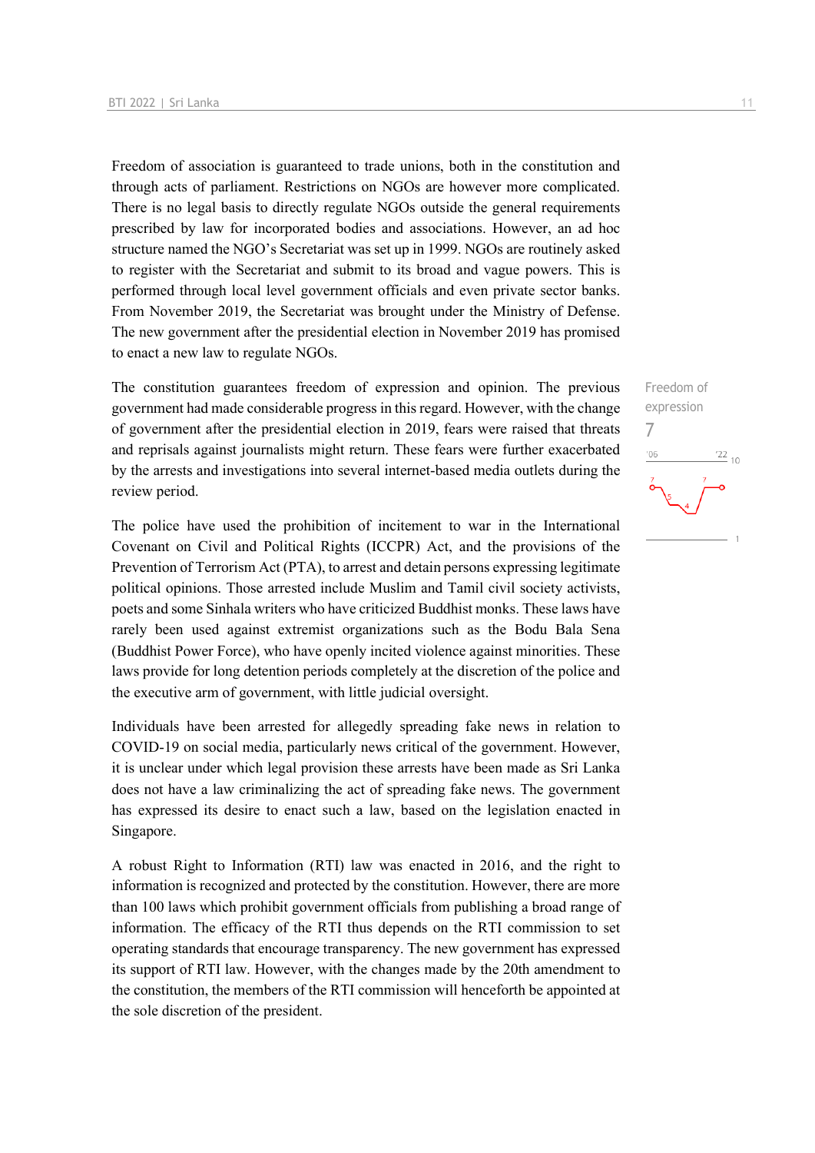Freedom of association is guaranteed to trade unions, both in the constitution and through acts of parliament. Restrictions on NGOs are however more complicated. There is no legal basis to directly regulate NGOs outside the general requirements prescribed by law for incorporated bodies and associations. However, an ad hoc structure named the NGO's Secretariat was set up in 1999. NGOs are routinely asked to register with the Secretariat and submit to its broad and vague powers. This is performed through local level government officials and even private sector banks. From November 2019, the Secretariat was brought under the Ministry of Defense. The new government after the presidential election in November 2019 has promised to enact a new law to regulate NGOs.

The constitution guarantees freedom of expression and opinion. The previous government had made considerable progress in this regard. However, with the change of government after the presidential election in 2019, fears were raised that threats and reprisals against journalists might return. These fears were further exacerbated by the arrests and investigations into several internet-based media outlets during the review period.

The police have used the prohibition of incitement to war in the International Covenant on Civil and Political Rights (ICCPR) Act, and the provisions of the Prevention of Terrorism Act (PTA), to arrest and detain persons expressing legitimate political opinions. Those arrested include Muslim and Tamil civil society activists, poets and some Sinhala writers who have criticized Buddhist monks. These laws have rarely been used against extremist organizations such as the Bodu Bala Sena (Buddhist Power Force), who have openly incited violence against minorities. These laws provide for long detention periods completely at the discretion of the police and the executive arm of government, with little judicial oversight.

Individuals have been arrested for allegedly spreading fake news in relation to COVID-19 on social media, particularly news critical of the government. However, it is unclear under which legal provision these arrests have been made as Sri Lanka does not have a law criminalizing the act of spreading fake news. The government has expressed its desire to enact such a law, based on the legislation enacted in Singapore.

A robust Right to Information (RTI) law was enacted in 2016, and the right to information is recognized and protected by the constitution. However, there are more than 100 laws which prohibit government officials from publishing a broad range of information. The efficacy of the RTI thus depends on the RTI commission to set operating standards that encourage transparency. The new government has expressed its support of RTI law. However, with the changes made by the 20th amendment to the constitution, the members of the RTI commission will henceforth be appointed at the sole discretion of the president.

Freedom of expression 7 $\frac{22}{10}$  $^{\prime}06$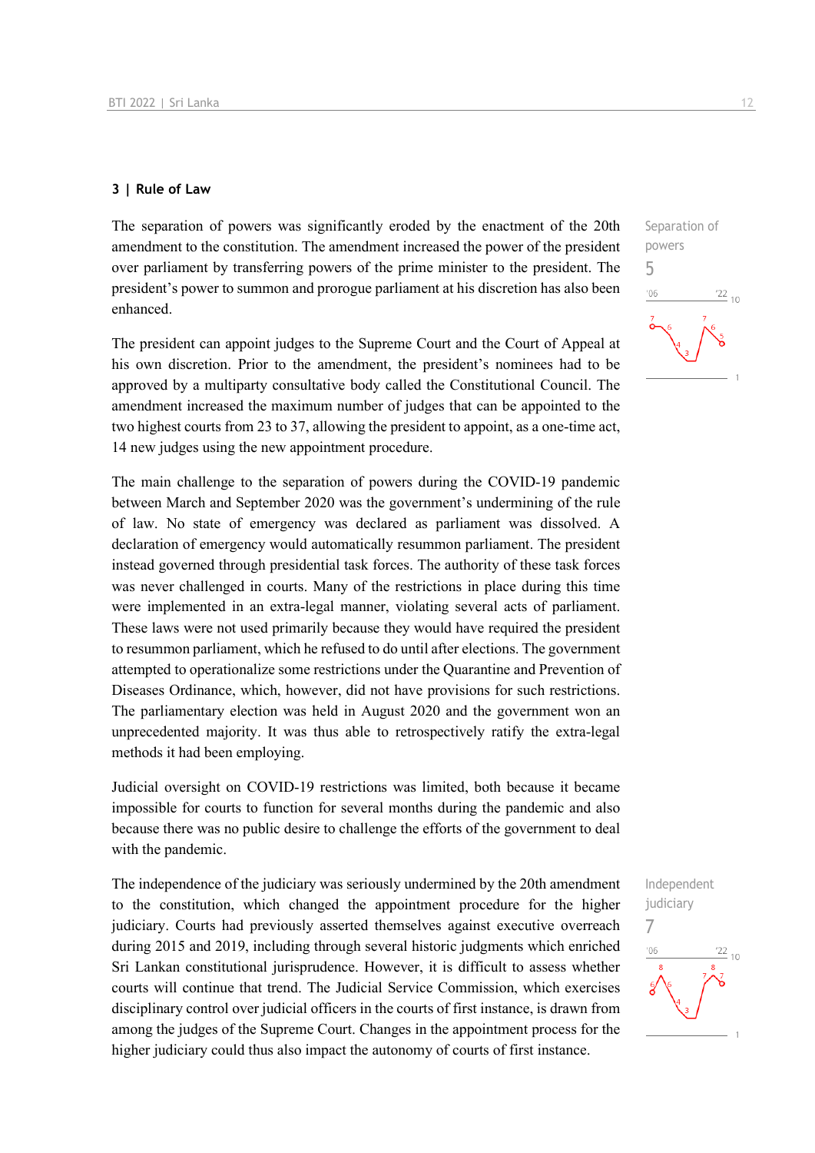#### **3 | Rule of Law**

The separation of powers was significantly eroded by the enactment of the 20th amendment to the constitution. The amendment increased the power of the president over parliament by transferring powers of the prime minister to the president. The president's power to summon and prorogue parliament at his discretion has also been enhanced.

The president can appoint judges to the Supreme Court and the Court of Appeal at his own discretion. Prior to the amendment, the president's nominees had to be approved by a multiparty consultative body called the Constitutional Council. The amendment increased the maximum number of judges that can be appointed to the two highest courts from 23 to 37, allowing the president to appoint, as a one-time act, 14 new judges using the new appointment procedure.

The main challenge to the separation of powers during the COVID-19 pandemic between March and September 2020 was the government's undermining of the rule of law. No state of emergency was declared as parliament was dissolved. A declaration of emergency would automatically resummon parliament. The president instead governed through presidential task forces. The authority of these task forces was never challenged in courts. Many of the restrictions in place during this time were implemented in an extra-legal manner, violating several acts of parliament. These laws were not used primarily because they would have required the president to resummon parliament, which he refused to do until after elections. The government attempted to operationalize some restrictions under the Quarantine and Prevention of Diseases Ordinance, which, however, did not have provisions for such restrictions. The parliamentary election was held in August 2020 and the government won an unprecedented majority. It was thus able to retrospectively ratify the extra-legal methods it had been employing.

Judicial oversight on COVID-19 restrictions was limited, both because it became impossible for courts to function for several months during the pandemic and also because there was no public desire to challenge the efforts of the government to deal with the pandemic.

The independence of the judiciary was seriously undermined by the 20th amendment to the constitution, which changed the appointment procedure for the higher judiciary. Courts had previously asserted themselves against executive overreach during 2015 and 2019, including through several historic judgments which enriched Sri Lankan constitutional jurisprudence. However, it is difficult to assess whether courts will continue that trend. The Judicial Service Commission, which exercises disciplinary control over judicial officers in the courts of first instance, is drawn from among the judges of the Supreme Court. Changes in the appointment process for the higher judiciary could thus also impact the autonomy of courts of first instance.

Independent judiciary 7 $-06$  $\frac{22}{10}$ 

 $\frac{22}{10}$ 

Separation of powers 5

 $^{\prime}06$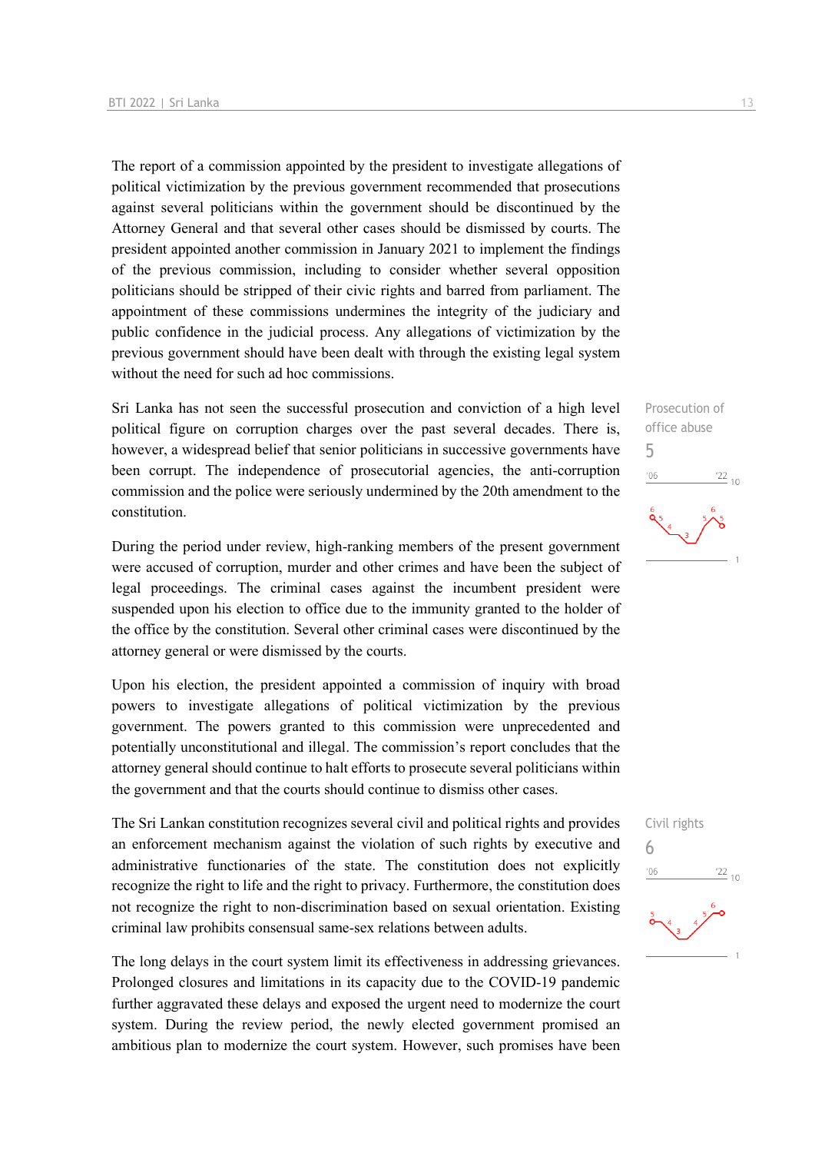The report of a commission appointed by the president to investigate allegations of political victimization by the previous government recommended that prosecutions against several politicians within the government should be discontinued by the Attorney General and that several other cases should be dismissed by courts. The president appointed another commission in January 2021 to implement the findings of the previous commission, including to consider whether several opposition politicians should be stripped of their civic rights and barred from parliament. The appointment of these commissions undermines the integrity of the judiciary and public confidence in the judicial process. Any allegations of victimization by the previous government should have been dealt with through the existing legal system without the need for such ad hoc commissions.

Sri Lanka has not seen the successful prosecution and conviction of a high level political figure on corruption charges over the past several decades. There is, however, a widespread belief that senior politicians in successive governments have been corrupt. The independence of prosecutorial agencies, the anti-corruption commission and the police were seriously undermined by the 20th amendment to the constitution.

During the period under review, high-ranking members of the present government were accused of corruption, murder and other crimes and have been the subject of legal proceedings. The criminal cases against the incumbent president were suspended upon his election to office due to the immunity granted to the holder of the office by the constitution. Several other criminal cases were discontinued by the attorney general or were dismissed by the courts.

Upon his election, the president appointed a commission of inquiry with broad powers to investigate allegations of political victimization by the previous government. The powers granted to this commission were unprecedented and potentially unconstitutional and illegal. The commission's report concludes that the attorney general should continue to halt efforts to prosecute several politicians within the government and that the courts should continue to dismiss other cases.

The Sri Lankan constitution recognizes several civil and political rights and provides an enforcement mechanism against the violation of such rights by executive and administrative functionaries of the state. The constitution does not explicitly recognize the right to life and the right to privacy. Furthermore, the constitution does not recognize the right to non-discrimination based on sexual orientation. Existing criminal law prohibits consensual same-sex relations between adults.

The long delays in the court system limit its effectiveness in addressing grievances. Prolonged closures and limitations in its capacity due to the COVID-19 pandemic further aggravated these delays and exposed the urgent need to modernize the court system. During the review period, the newly elected government promised an ambitious plan to modernize the court system. However, such promises have been

Prosecution of office abuse 5  $-06$  $\frac{22}{10}$ 

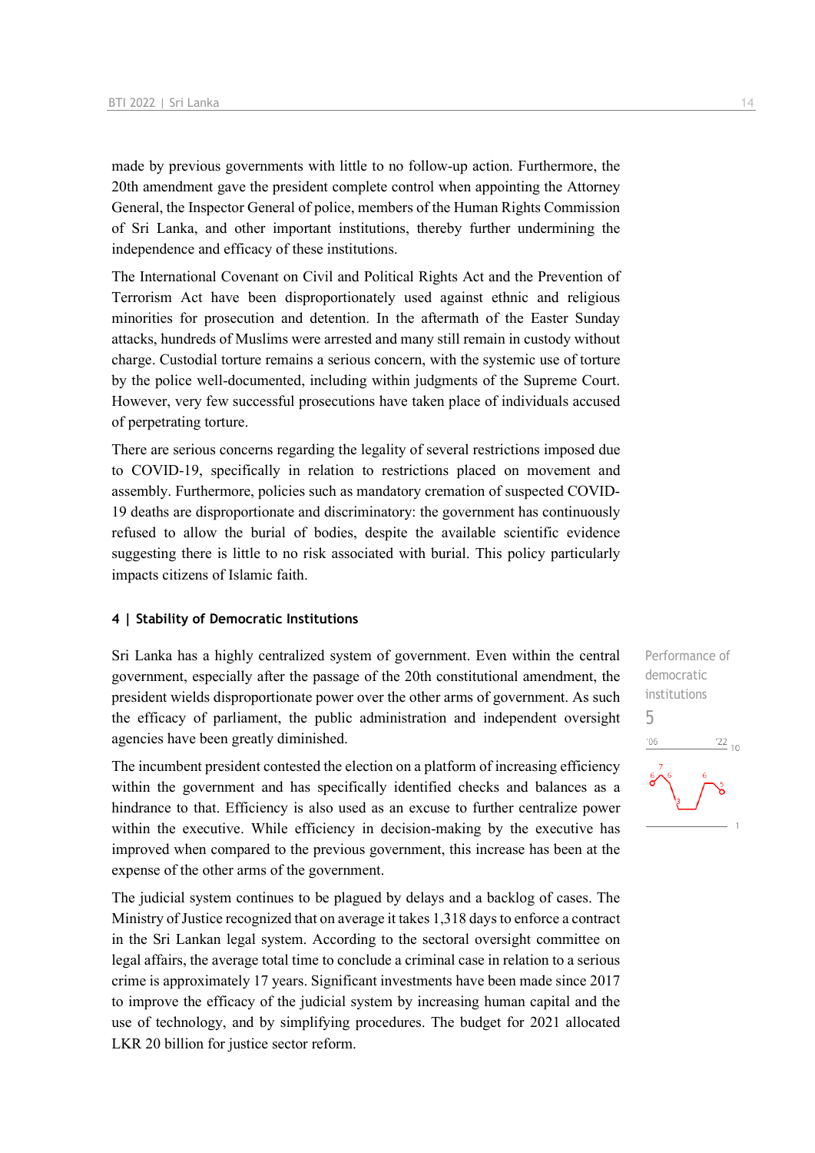made by previous governments with little to no follow-up action. Furthermore, the 20th amendment gave the president complete control when appointing the Attorney General, the Inspector General of police, members of the Human Rights Commission of Sri Lanka, and other important institutions, thereby further undermining the independence and efficacy of these institutions.

The International Covenant on Civil and Political Rights Act and the Prevention of Terrorism Act have been disproportionately used against ethnic and religious minorities for prosecution and detention. In the aftermath of the Easter Sunday attacks, hundreds of Muslims were arrested and many still remain in custody without charge. Custodial torture remains a serious concern, with the systemic use of torture by the police well-documented, including within judgments of the Supreme Court. However, very few successful prosecutions have taken place of individuals accused of perpetrating torture.

There are serious concerns regarding the legality of several restrictions imposed due to COVID-19, specifically in relation to restrictions placed on movement and assembly. Furthermore, policies such as mandatory cremation of suspected COVID-19 deaths are disproportionate and discriminatory: the government has continuously refused to allow the burial of bodies, despite the available scientific evidence suggesting there is little to no risk associated with burial. This policy particularly impacts citizens of Islamic faith.

#### **4 | Stability of Democratic Institutions**

Sri Lanka has a highly centralized system of government. Even within the central government, especially after the passage of the 20th constitutional amendment, the president wields disproportionate power over the other arms of government. As such the efficacy of parliament, the public administration and independent oversight agencies have been greatly diminished.

The incumbent president contested the election on a platform of increasing efficiency within the government and has specifically identified checks and balances as a hindrance to that. Efficiency is also used as an excuse to further centralize power within the executive. While efficiency in decision-making by the executive has improved when compared to the previous government, this increase has been at the expense of the other arms of the government.

The judicial system continues to be plagued by delays and a backlog of cases. The Ministry of Justice recognized that on average it takes 1,318 days to enforce a contract in the Sri Lankan legal system. According to the sectoral oversight committee on legal affairs, the average total time to conclude a criminal case in relation to a serious crime is approximately 17 years. Significant investments have been made since 2017 to improve the efficacy of the judicial system by increasing human capital and the use of technology, and by simplifying procedures. The budget for 2021 allocated LKR 20 billion for justice sector reform.

Performance of democratic institutions 5 $\frac{22}{10}$  $^{\prime}06$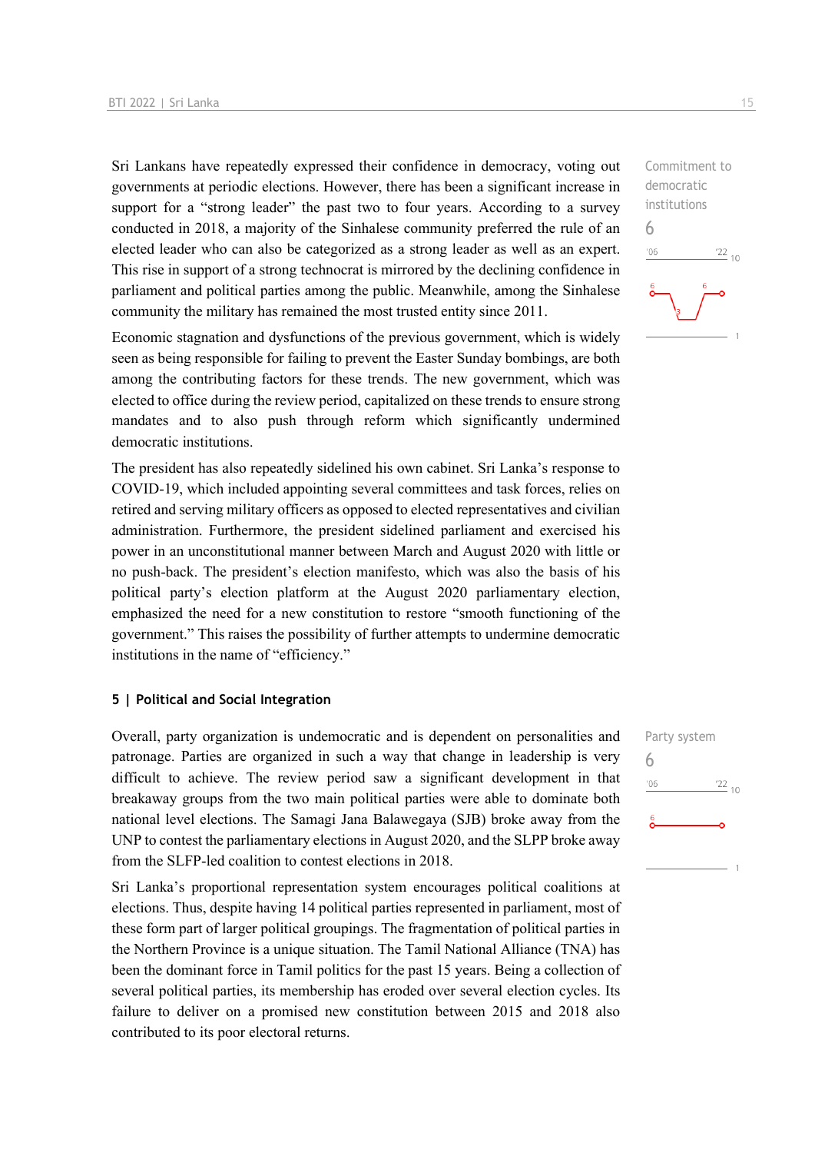Sri Lankans have repeatedly expressed their confidence in democracy, voting out governments at periodic elections. However, there has been a significant increase in support for a "strong leader" the past two to four years. According to a survey conducted in 2018, a majority of the Sinhalese community preferred the rule of an elected leader who can also be categorized as a strong leader as well as an expert. This rise in support of a strong technocrat is mirrored by the declining confidence in parliament and political parties among the public. Meanwhile, among the Sinhalese community the military has remained the most trusted entity since 2011.

Economic stagnation and dysfunctions of the previous government, which is widely seen as being responsible for failing to prevent the Easter Sunday bombings, are both among the contributing factors for these trends. The new government, which was elected to office during the review period, capitalized on these trends to ensure strong mandates and to also push through reform which significantly undermined democratic institutions.

The president has also repeatedly sidelined his own cabinet. Sri Lanka's response to COVID-19, which included appointing several committees and task forces, relies on retired and serving military officers as opposed to elected representatives and civilian administration. Furthermore, the president sidelined parliament and exercised his power in an unconstitutional manner between March and August 2020 with little or no push-back. The president's election manifesto, which was also the basis of his political party's election platform at the August 2020 parliamentary election, emphasized the need for a new constitution to restore "smooth functioning of the government." This raises the possibility of further attempts to undermine democratic institutions in the name of "efficiency."

#### **5 | Political and Social Integration**

Overall, party organization is undemocratic and is dependent on personalities and patronage. Parties are organized in such a way that change in leadership is very difficult to achieve. The review period saw a significant development in that breakaway groups from the two main political parties were able to dominate both national level elections. The Samagi Jana Balawegaya (SJB) broke away from the UNP to contest the parliamentary elections in August 2020, and the SLPP broke away from the SLFP-led coalition to contest elections in 2018.

Sri Lanka's proportional representation system encourages political coalitions at elections. Thus, despite having 14 political parties represented in parliament, most of these form part of larger political groupings. The fragmentation of political parties in the Northern Province is a unique situation. The Tamil National Alliance (TNA) has been the dominant force in Tamil politics for the past 15 years. Being a collection of several political parties, its membership has eroded over several election cycles. Its failure to deliver on a promised new constitution between 2015 and 2018 also contributed to its poor electoral returns.

Commitment to democratic institutions  $'22_{10}$ 

6

 $-06$ 

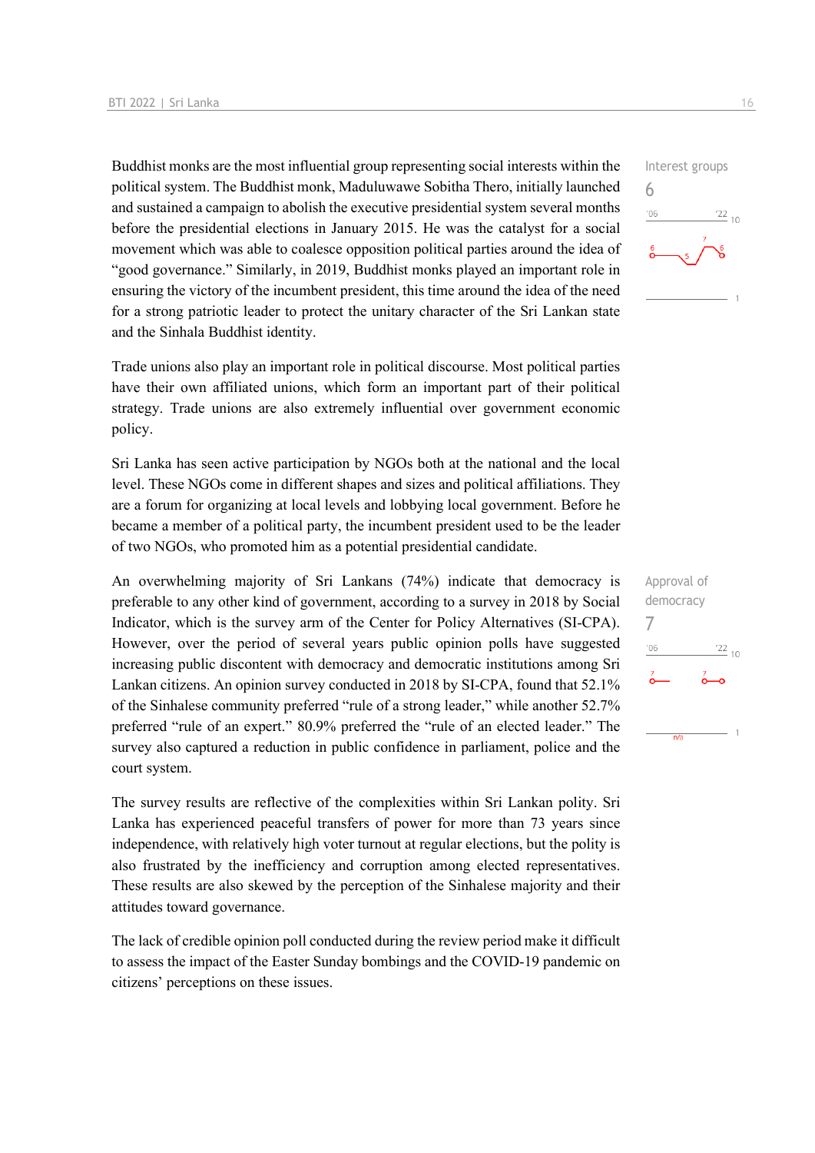Buddhist monks are the most influential group representing social interests within the political system. The Buddhist monk, Maduluwawe Sobitha Thero, initially launched and sustained a campaign to abolish the executive presidential system several months before the presidential elections in January 2015. He was the catalyst for a social movement which was able to coalesce opposition political parties around the idea of "good governance." Similarly, in 2019, Buddhist monks played an important role in ensuring the victory of the incumbent president, this time around the idea of the need for a strong patriotic leader to protect the unitary character of the Sri Lankan state and the Sinhala Buddhist identity.

Trade unions also play an important role in political discourse. Most political parties have their own affiliated unions, which form an important part of their political strategy. Trade unions are also extremely influential over government economic policy.

Sri Lanka has seen active participation by NGOs both at the national and the local level. These NGOs come in different shapes and sizes and political affiliations. They are a forum for organizing at local levels and lobbying local government. Before he became a member of a political party, the incumbent president used to be the leader of two NGOs, who promoted him as a potential presidential candidate.

An overwhelming majority of Sri Lankans (74%) indicate that democracy is preferable to any other kind of government, according to a survey in 2018 by Social Indicator, which is the survey arm of the Center for Policy Alternatives (SI-CPA). However, over the period of several years public opinion polls have suggested increasing public discontent with democracy and democratic institutions among Sri Lankan citizens. An opinion survey conducted in 2018 by SI-CPA, found that 52.1% of the Sinhalese community preferred "rule of a strong leader," while another 52.7% preferred "rule of an expert." 80.9% preferred the "rule of an elected leader." The survey also captured a reduction in public confidence in parliament, police and the court system.

The survey results are reflective of the complexities within Sri Lankan polity. Sri Lanka has experienced peaceful transfers of power for more than 73 years since independence, with relatively high voter turnout at regular elections, but the polity is also frustrated by the inefficiency and corruption among elected representatives. These results are also skewed by the perception of the Sinhalese majority and their attitudes toward governance.

The lack of credible opinion poll conducted during the review period make it difficult to assess the impact of the Easter Sunday bombings and the COVID-19 pandemic on citizens' perceptions on these issues.



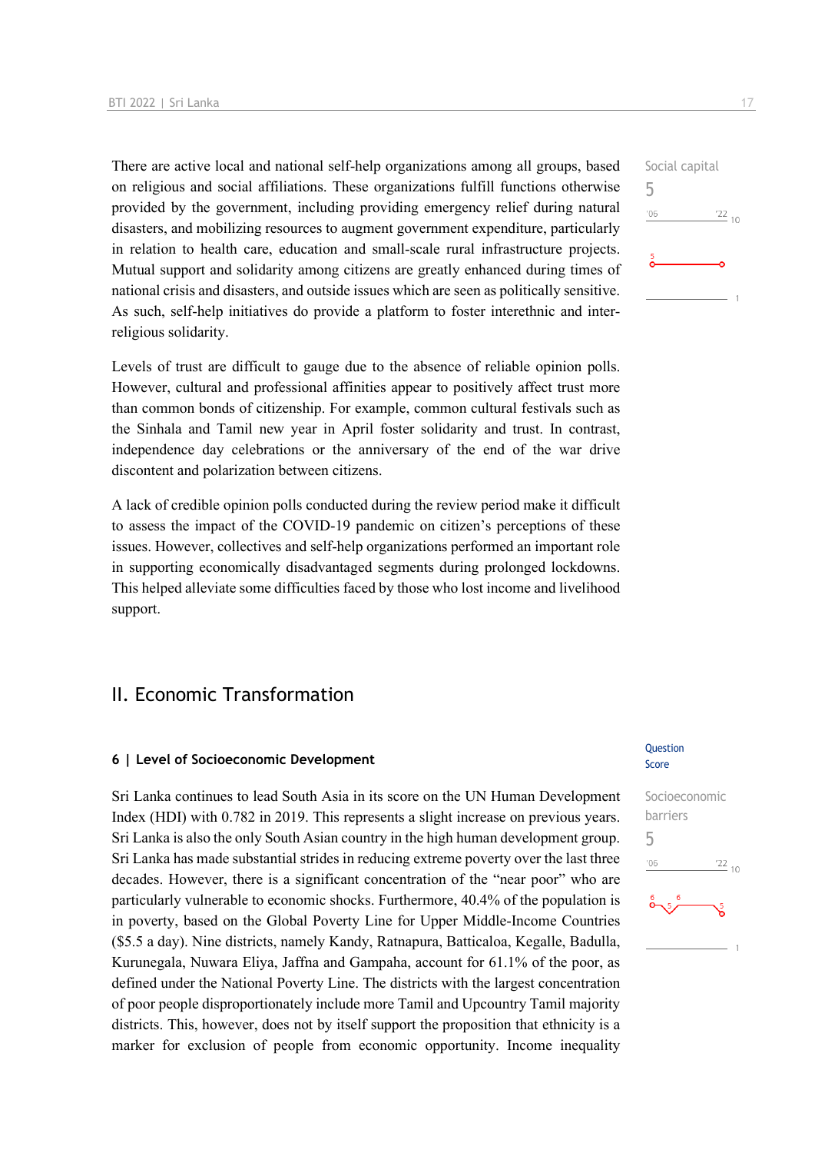There are active local and national self-help organizations among all groups, based on religious and social affiliations. These organizations fulfill functions otherwise provided by the government, including providing emergency relief during natural disasters, and mobilizing resources to augment government expenditure, particularly in relation to health care, education and small-scale rural infrastructure projects. Mutual support and solidarity among citizens are greatly enhanced during times of national crisis and disasters, and outside issues which are seen as politically sensitive. As such, self-help initiatives do provide a platform to foster interethnic and interreligious solidarity.

Levels of trust are difficult to gauge due to the absence of reliable opinion polls. However, cultural and professional affinities appear to positively affect trust more than common bonds of citizenship. For example, common cultural festivals such as the Sinhala and Tamil new year in April foster solidarity and trust. In contrast, independence day celebrations or the anniversary of the end of the war drive discontent and polarization between citizens.

A lack of credible opinion polls conducted during the review period make it difficult to assess the impact of the COVID-19 pandemic on citizen's perceptions of these issues. However, collectives and self-help organizations performed an important role in supporting economically disadvantaged segments during prolonged lockdowns. This helped alleviate some difficulties faced by those who lost income and livelihood support.

## II. Economic Transformation

#### **6 | Level of Socioeconomic Development**

Sri Lanka continues to lead South Asia in its score on the UN Human Development Index (HDI) with 0.782 in 2019. This represents a slight increase on previous years. Sri Lanka is also the only South Asian country in the high human development group. Sri Lanka has made substantial strides in reducing extreme poverty over the last three decades. However, there is a significant concentration of the "near poor" who are particularly vulnerable to economic shocks. Furthermore, 40.4% of the population is in poverty, based on the Global Poverty Line for Upper Middle-Income Countries (\$5.5 a day). Nine districts, namely Kandy, Ratnapura, Batticaloa, Kegalle, Badulla, Kurunegala, Nuwara Eliya, Jaffna and Gampaha, account for 61.1% of the poor, as defined under the National Poverty Line. The districts with the largest concentration of poor people disproportionately include more Tamil and Upcountry Tamil majority districts. This, however, does not by itself support the proposition that ethnicity is a marker for exclusion of people from economic opportunity. Income inequality

#### Question Score



Social capital 5  $\frac{22}{10}$  $106$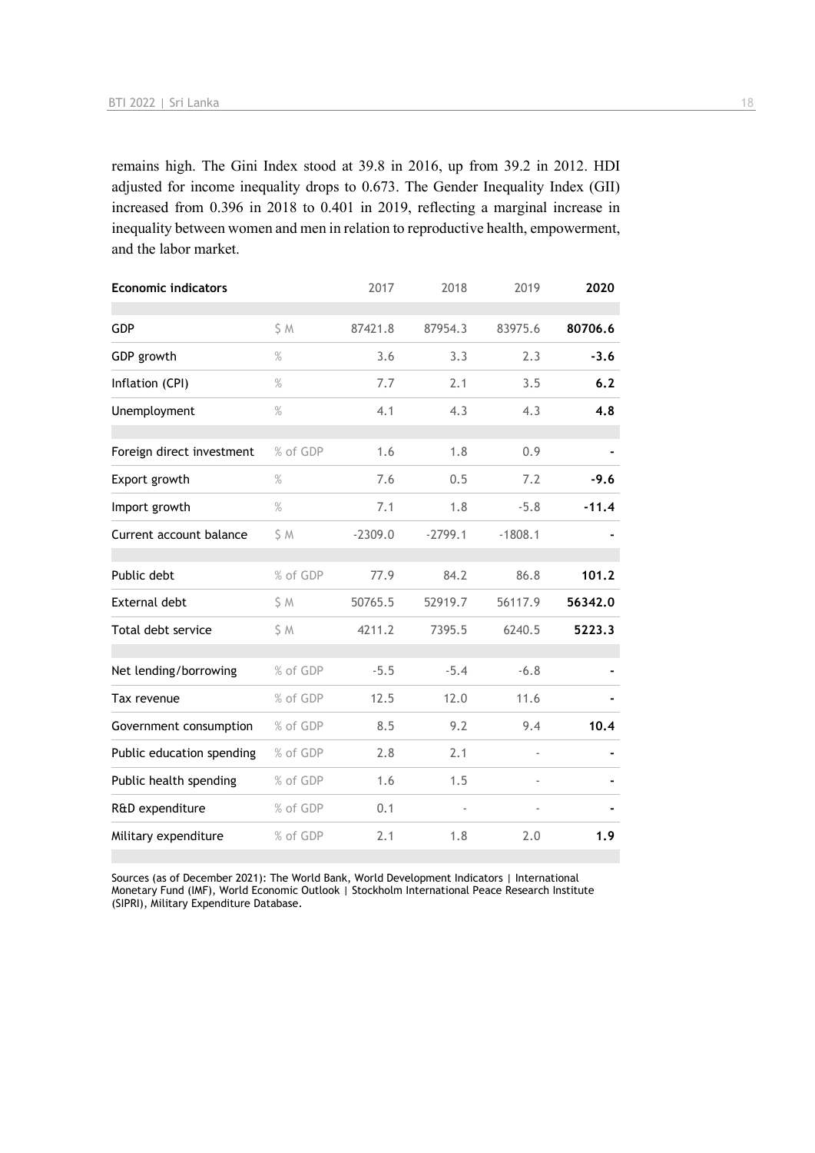remains high. The Gini Index stood at 39.8 in 2016, up from 39.2 in 2012. HDI adjusted for income inequality drops to 0.673. The Gender Inequality Index (GII) increased from 0.396 in 2018 to 0.401 in 2019, reflecting a marginal increase in inequality between women and men in relation to reproductive health, empowerment, and the labor market.

| <b>Economic indicators</b> |          | 2017      | 2018           | 2019          | 2020    |
|----------------------------|----------|-----------|----------------|---------------|---------|
| <b>GDP</b>                 | S M      | 87421.8   | 87954.3        | 83975.6       | 80706.6 |
| GDP growth                 | $\%$     | 3.6       | 3.3            | 2.3           | $-3.6$  |
| Inflation (CPI)            | $\%$     | 7.7       | 2.1            | 3.5           | 6.2     |
| Unemployment               | $\%$     | 4.1       | 4.3            | 4.3           | 4.8     |
| Foreign direct investment  | % of GDP | 1.6       | 1.8            | 0.9           |         |
| Export growth              | $\%$     | 7.6       | 0.5            | 7.2           | $-9.6$  |
| Import growth              | $\%$     | 7.1       | 1.8            | $-5.8$        | $-11.4$ |
| Current account balance    | \$ M     | $-2309.0$ | $-2799.1$      | $-1808.1$     |         |
| Public debt                | % of GDP | 77.9      | 84.2           | 86.8          | 101.2   |
| External debt              | \$ M     | 50765.5   | 52919.7        | 56117.9       | 56342.0 |
| Total debt service         | \$ M     | 4211.2    | 7395.5         | 6240.5        | 5223.3  |
| Net lending/borrowing      | % of GDP | $-5.5$    | $-5.4$         | $-6.8$        |         |
| Tax revenue                | % of GDP | 12.5      | 12.0           | 11.6          |         |
| Government consumption     | % of GDP | 8.5       | 9.2            | 9.4           | 10.4    |
| Public education spending  | % of GDP | 2.8       | 2.1            | $\frac{1}{2}$ |         |
| Public health spending     | % of GDP | 1.6       | 1.5            |               |         |
| R&D expenditure            | % of GDP | 0.1       | $\blacksquare$ |               |         |
| Military expenditure       | % of GDP | 2.1       | 1.8            | 2.0           | 1.9     |

Sources (as of December 2021): The World Bank, World Development Indicators | International Monetary Fund (IMF), World Economic Outlook | Stockholm International Peace Research Institute (SIPRI), Military Expenditure Database.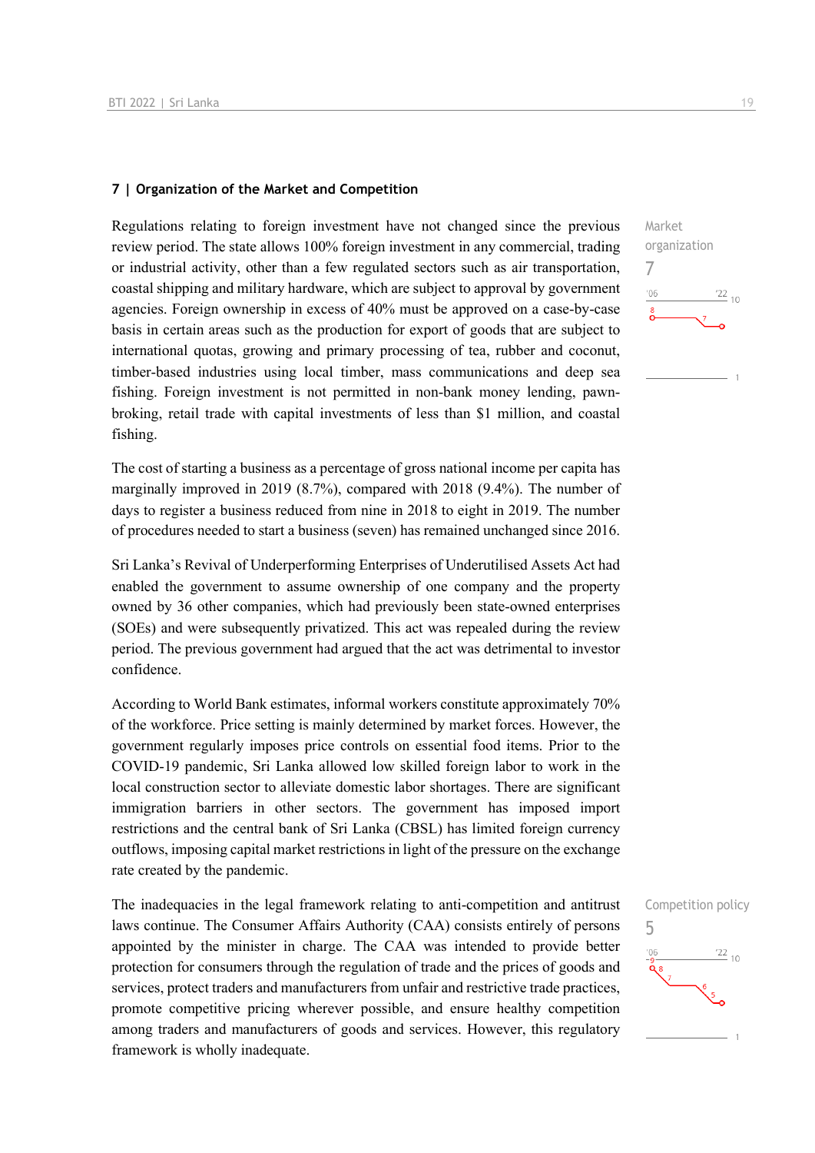#### **7 | Organization of the Market and Competition**

Regulations relating to foreign investment have not changed since the previous review period. The state allows 100% foreign investment in any commercial, trading or industrial activity, other than a few regulated sectors such as air transportation, coastal shipping and military hardware, which are subject to approval by government agencies. Foreign ownership in excess of 40% must be approved on a case-by-case basis in certain areas such as the production for export of goods that are subject to international quotas, growing and primary processing of tea, rubber and coconut, timber-based industries using local timber, mass communications and deep sea fishing. Foreign investment is not permitted in non-bank money lending, pawnbroking, retail trade with capital investments of less than \$1 million, and coastal fishing.

The cost of starting a business as a percentage of gross national income per capita has marginally improved in 2019 (8.7%), compared with 2018 (9.4%). The number of days to register a business reduced from nine in 2018 to eight in 2019. The number of procedures needed to start a business (seven) has remained unchanged since 2016.

Sri Lanka's Revival of Underperforming Enterprises of Underutilised Assets Act had enabled the government to assume ownership of one company and the property owned by 36 other companies, which had previously been state-owned enterprises (SOEs) and were subsequently privatized. This act was repealed during the review period. The previous government had argued that the act was detrimental to investor confidence.

According to World Bank estimates, informal workers constitute approximately 70% of the workforce. Price setting is mainly determined by market forces. However, the government regularly imposes price controls on essential food items. Prior to the COVID-19 pandemic, Sri Lanka allowed low skilled foreign labor to work in the local construction sector to alleviate domestic labor shortages. There are significant immigration barriers in other sectors. The government has imposed import restrictions and the central bank of Sri Lanka (CBSL) has limited foreign currency outflows, imposing capital market restrictions in light of the pressure on the exchange rate created by the pandemic.

The inadequacies in the legal framework relating to anti-competition and antitrust laws continue. The Consumer Affairs Authority (CAA) consists entirely of persons appointed by the minister in charge. The CAA was intended to provide better protection for consumers through the regulation of trade and the prices of goods and services, protect traders and manufacturers from unfair and restrictive trade practices, promote competitive pricing wherever possible, and ensure healthy competition among traders and manufacturers of goods and services. However, this regulatory framework is wholly inadequate.



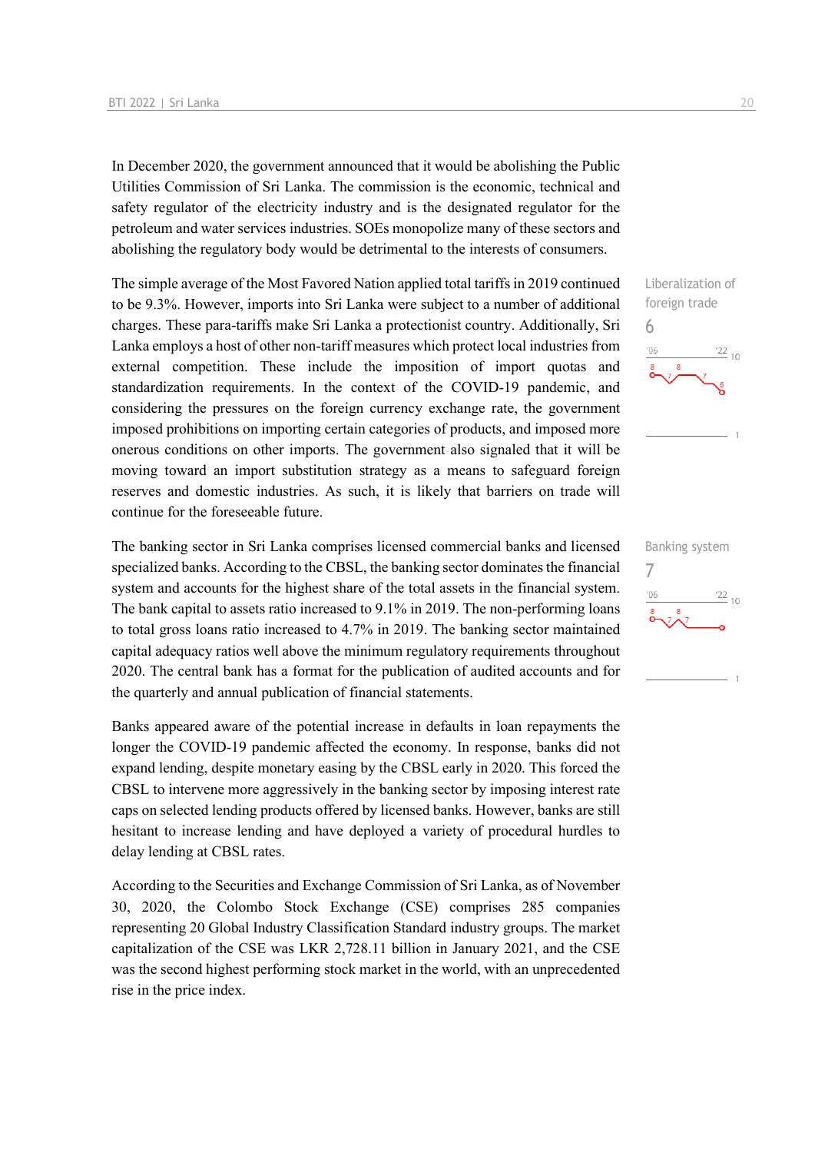In December 2020, the government announced that it would be abolishing the Public Utilities Commission of Sri Lanka. The commission is the economic, technical and safety regulator of the electricity industry and is the designated regulator for the petroleum and water services industries. SOEs monopolize many of these sectors and abolishing the regulatory body would be detrimental to the interests of consumers.

The simple average of the Most Favored Nation applied total tariffs in 2019 continued to be 9.3%. However, imports into Sri Lanka were subject to a number of additional charges. These para-tariffs make Sri Lanka a protectionist country. Additionally, Sri Lanka employs a host of other non-tariff measures which protect local industries from external competition. These include the imposition of import quotas and standardization requirements. In the context of the COVID-19 pandemic, and considering the pressures on the foreign currency exchange rate, the government imposed prohibitions on importing certain categories of products, and imposed more onerous conditions on other imports. The government also signaled that it will be moving toward an import substitution strategy as a means to safeguard foreign reserves and domestic industries. As such, it is likely that barriers on trade will continue for the foreseeable future.

The banking sector in Sri Lanka comprises licensed commercial banks and licensed specialized banks. According to the CBSL, the banking sector dominates the financial system and accounts for the highest share of the total assets in the financial system. The bank capital to assets ratio increased to 9.1% in 2019. The non-performing loans to total gross loans ratio increased to 4.7% in 2019. The banking sector maintained capital adequacy ratios well above the minimum regulatory requirements throughout 2020. The central bank has a format for the publication of audited accounts and for the quarterly and annual publication of financial statements.

Banks appeared aware of the potential increase in defaults in loan repayments the longer the COVID-19 pandemic affected the economy. In response, banks did not expand lending, despite monetary easing by the CBSL early in 2020. This forced the CBSL to intervene more aggressively in the banking sector by imposing interest rate caps on selected lending products offered by licensed banks. However, banks are still hesitant to increase lending and have deployed a variety of procedural hurdles to delay lending at CBSL rates.

According to the Securities and Exchange Commission of Sri Lanka, as of November 30, 2020, the Colombo Stock Exchange (CSE) comprises 285 companies representing 20 Global Industry Classification Standard industry groups. The market capitalization of the CSE was LKR 2,728.11 billion in January 2021, and the CSE was the second highest performing stock market in the world, with an unprecedented rise in the price index.



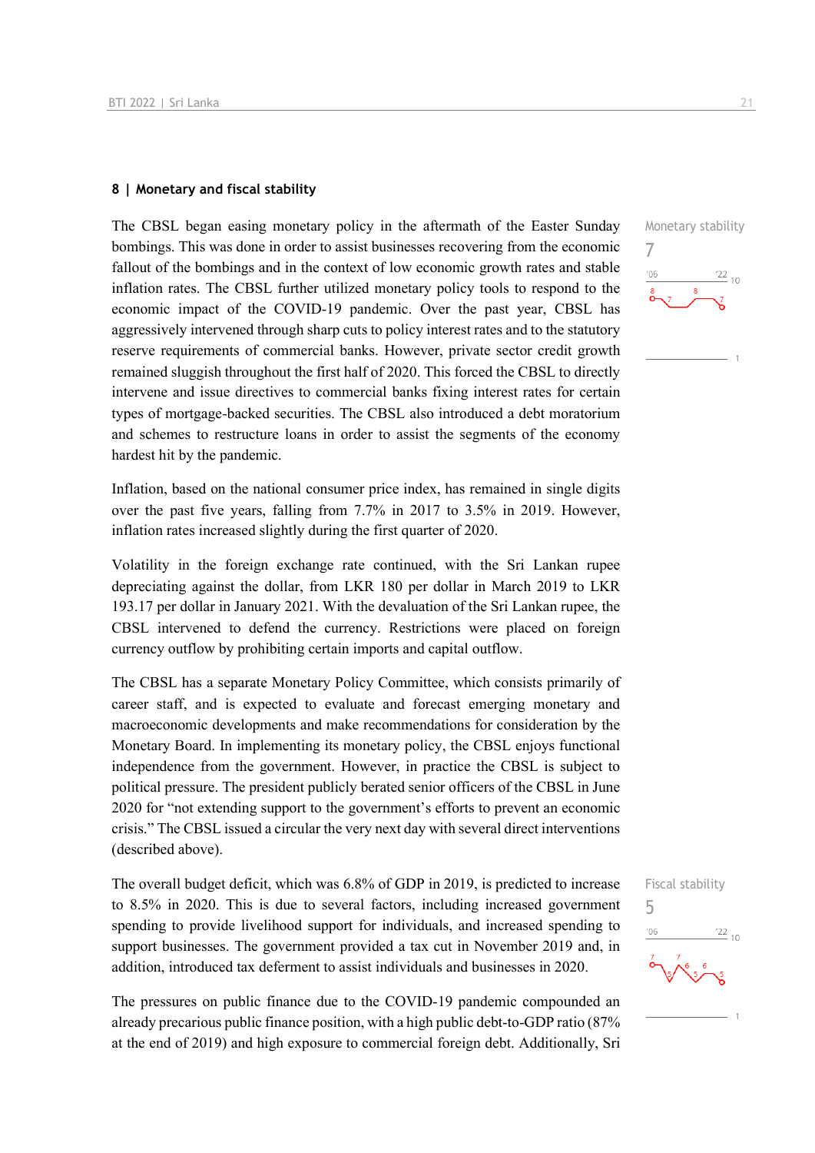#### **8 | Monetary and fiscal stability**

The CBSL began easing monetary policy in the aftermath of the Easter Sunday bombings. This was done in order to assist businesses recovering from the economic fallout of the bombings and in the context of low economic growth rates and stable inflation rates. The CBSL further utilized monetary policy tools to respond to the economic impact of the COVID-19 pandemic. Over the past year, CBSL has aggressively intervened through sharp cuts to policy interest rates and to the statutory reserve requirements of commercial banks. However, private sector credit growth remained sluggish throughout the first half of 2020. This forced the CBSL to directly intervene and issue directives to commercial banks fixing interest rates for certain types of mortgage-backed securities. The CBSL also introduced a debt moratorium and schemes to restructure loans in order to assist the segments of the economy hardest hit by the pandemic.

Inflation, based on the national consumer price index, has remained in single digits over the past five years, falling from 7.7% in 2017 to 3.5% in 2019. However, inflation rates increased slightly during the first quarter of 2020.

Volatility in the foreign exchange rate continued, with the Sri Lankan rupee depreciating against the dollar, from LKR 180 per dollar in March 2019 to LKR 193.17 per dollar in January 2021. With the devaluation of the Sri Lankan rupee, the CBSL intervened to defend the currency. Restrictions were placed on foreign currency outflow by prohibiting certain imports and capital outflow.

The CBSL has a separate Monetary Policy Committee, which consists primarily of career staff, and is expected to evaluate and forecast emerging monetary and macroeconomic developments and make recommendations for consideration by the Monetary Board. In implementing its monetary policy, the CBSL enjoys functional independence from the government. However, in practice the CBSL is subject to political pressure. The president publicly berated senior officers of the CBSL in June 2020 for "not extending support to the government's efforts to prevent an economic crisis." The CBSL issued a circular the very next day with several direct interventions (described above).

The overall budget deficit, which was 6.8% of GDP in 2019, is predicted to increase to 8.5% in 2020. This is due to several factors, including increased government spending to provide livelihood support for individuals, and increased spending to support businesses. The government provided a tax cut in November 2019 and, in addition, introduced tax deferment to assist individuals and businesses in 2020.

The pressures on public finance due to the COVID-19 pandemic compounded an already precarious public finance position, with a high public debt-to-GDP ratio (87% at the end of 2019) and high exposure to commercial foreign debt. Additionally, Sri Monetary stability 7  $\frac{22}{10}$  $106$ 



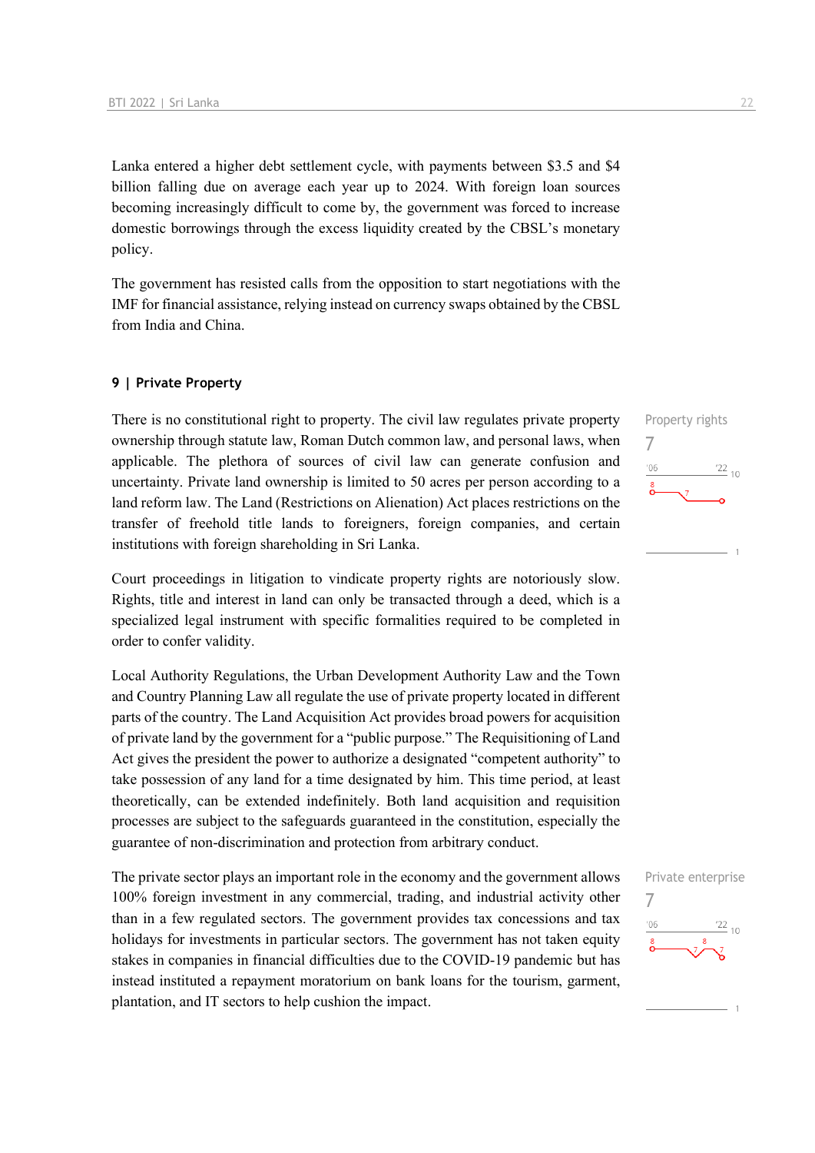Lanka entered a higher debt settlement cycle, with payments between \$3.5 and \$4 billion falling due on average each year up to 2024. With foreign loan sources becoming increasingly difficult to come by, the government was forced to increase domestic borrowings through the excess liquidity created by the CBSL's monetary policy.

The government has resisted calls from the opposition to start negotiations with the IMF for financial assistance, relying instead on currency swaps obtained by the CBSL from India and China.

#### **9 | Private Property**

There is no constitutional right to property. The civil law regulates private property ownership through statute law, Roman Dutch common law, and personal laws, when applicable. The plethora of sources of civil law can generate confusion and uncertainty. Private land ownership is limited to 50 acres per person according to a land reform law. The Land (Restrictions on Alienation) Act places restrictions on the transfer of freehold title lands to foreigners, foreign companies, and certain institutions with foreign shareholding in Sri Lanka.

Court proceedings in litigation to vindicate property rights are notoriously slow. Rights, title and interest in land can only be transacted through a deed, which is a specialized legal instrument with specific formalities required to be completed in order to confer validity.

Local Authority Regulations, the Urban Development Authority Law and the Town and Country Planning Law all regulate the use of private property located in different parts of the country. The Land Acquisition Act provides broad powers for acquisition of private land by the government for a "public purpose." The Requisitioning of Land Act gives the president the power to authorize a designated "competent authority" to take possession of any land for a time designated by him. This time period, at least theoretically, can be extended indefinitely. Both land acquisition and requisition processes are subject to the safeguards guaranteed in the constitution, especially the guarantee of non-discrimination and protection from arbitrary conduct.

The private sector plays an important role in the economy and the government allows 100% foreign investment in any commercial, trading, and industrial activity other than in a few regulated sectors. The government provides tax concessions and tax holidays for investments in particular sectors. The government has not taken equity stakes in companies in financial difficulties due to the COVID-19 pandemic but has instead instituted a repayment moratorium on bank loans for the tourism, garment, plantation, and IT sectors to help cushion the impact.



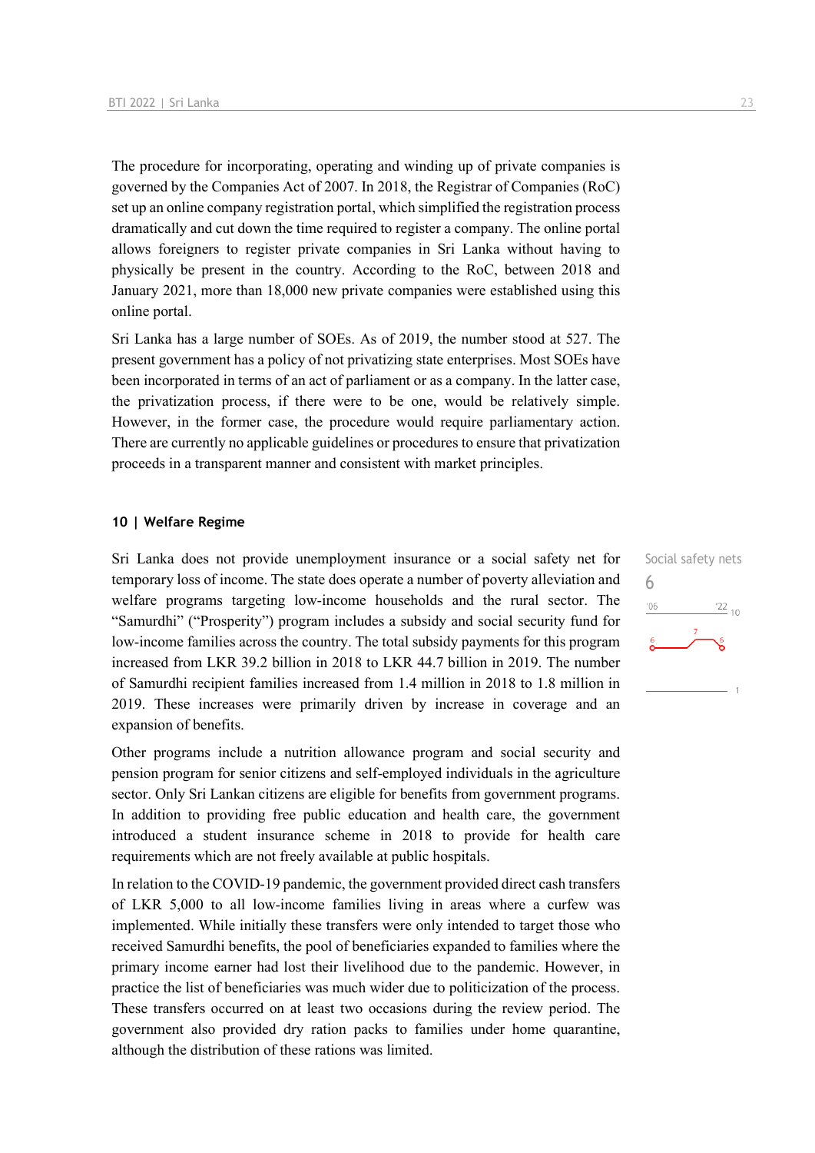The procedure for incorporating, operating and winding up of private companies is governed by the Companies Act of 2007. In 2018, the Registrar of Companies (RoC) set up an online company registration portal, which simplified the registration process dramatically and cut down the time required to register a company. The online portal allows foreigners to register private companies in Sri Lanka without having to physically be present in the country. According to the RoC, between 2018 and January 2021, more than 18,000 new private companies were established using this online portal.

Sri Lanka has a large number of SOEs. As of 2019, the number stood at 527. The present government has a policy of not privatizing state enterprises. Most SOEs have been incorporated in terms of an act of parliament or as a company. In the latter case, the privatization process, if there were to be one, would be relatively simple. However, in the former case, the procedure would require parliamentary action. There are currently no applicable guidelines or procedures to ensure that privatization proceeds in a transparent manner and consistent with market principles.

#### **10 | Welfare Regime**

Sri Lanka does not provide unemployment insurance or a social safety net for temporary loss of income. The state does operate a number of poverty alleviation and welfare programs targeting low-income households and the rural sector. The "Samurdhi" ("Prosperity") program includes a subsidy and social security fund for low-income families across the country. The total subsidy payments for this program increased from LKR 39.2 billion in 2018 to LKR 44.7 billion in 2019. The number of Samurdhi recipient families increased from 1.4 million in 2018 to 1.8 million in 2019. These increases were primarily driven by increase in coverage and an expansion of benefits.

Other programs include a nutrition allowance program and social security and pension program for senior citizens and self-employed individuals in the agriculture sector. Only Sri Lankan citizens are eligible for benefits from government programs. In addition to providing free public education and health care, the government introduced a student insurance scheme in 2018 to provide for health care requirements which are not freely available at public hospitals.

In relation to the COVID-19 pandemic, the government provided direct cash transfers of LKR 5,000 to all low-income families living in areas where a curfew was implemented. While initially these transfers were only intended to target those who received Samurdhi benefits, the pool of beneficiaries expanded to families where the primary income earner had lost their livelihood due to the pandemic. However, in practice the list of beneficiaries was much wider due to politicization of the process. These transfers occurred on at least two occasions during the review period. The government also provided dry ration packs to families under home quarantine, although the distribution of these rations was limited.

Social safety nets 6 $n<sub>6</sub>$  $\frac{22}{10}$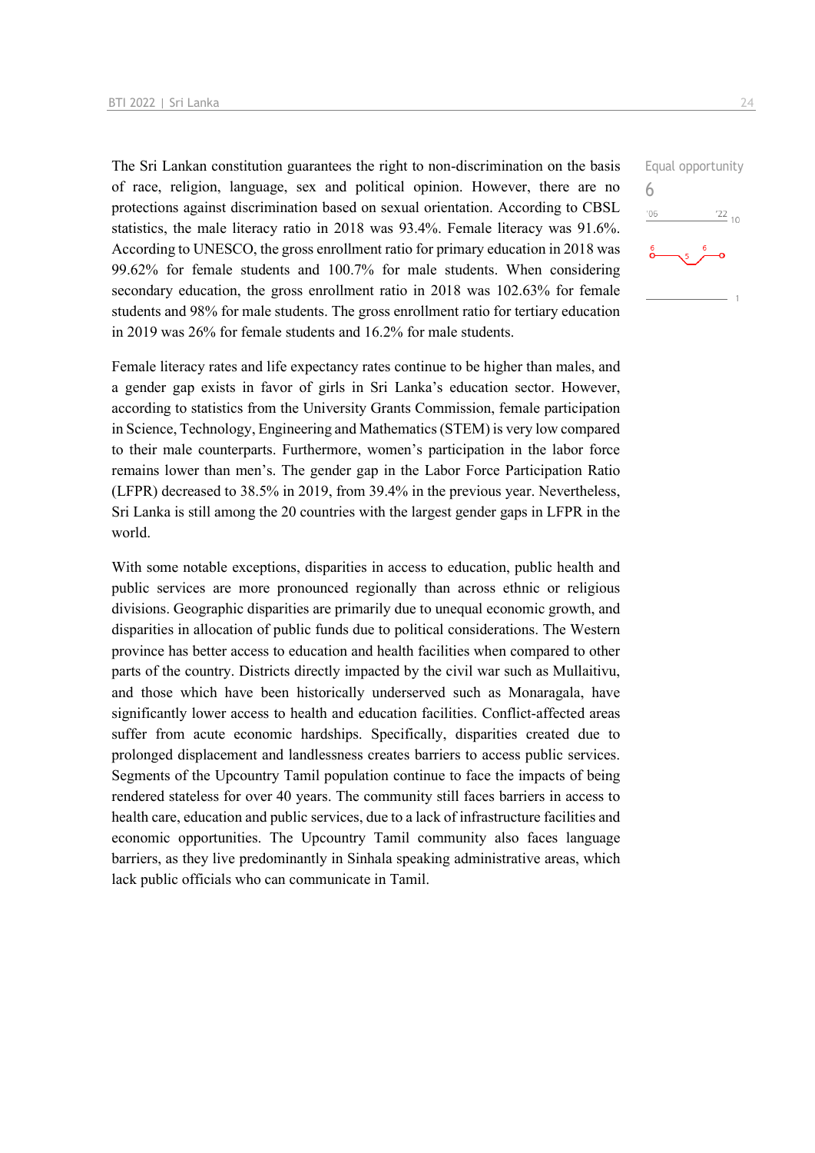The Sri Lankan constitution guarantees the right to non-discrimination on the basis of race, religion, language, sex and political opinion. However, there are no protections against discrimination based on sexual orientation. According to CBSL statistics, the male literacy ratio in 2018 was 93.4%. Female literacy was 91.6%. According to UNESCO, the gross enrollment ratio for primary education in 2018 was 99.62% for female students and 100.7% for male students. When considering secondary education, the gross enrollment ratio in 2018 was 102.63% for female students and 98% for male students. The gross enrollment ratio for tertiary education in 2019 was 26% for female students and 16.2% for male students.

Female literacy rates and life expectancy rates continue to be higher than males, and a gender gap exists in favor of girls in Sri Lanka's education sector. However, according to statistics from the University Grants Commission, female participation in Science, Technology, Engineering and Mathematics (STEM) is very low compared to their male counterparts. Furthermore, women's participation in the labor force remains lower than men's. The gender gap in the Labor Force Participation Ratio (LFPR) decreased to 38.5% in 2019, from 39.4% in the previous year. Nevertheless, Sri Lanka is still among the 20 countries with the largest gender gaps in LFPR in the world.

With some notable exceptions, disparities in access to education, public health and public services are more pronounced regionally than across ethnic or religious divisions. Geographic disparities are primarily due to unequal economic growth, and disparities in allocation of public funds due to political considerations. The Western province has better access to education and health facilities when compared to other parts of the country. Districts directly impacted by the civil war such as Mullaitivu, and those which have been historically underserved such as Monaragala, have significantly lower access to health and education facilities. Conflict-affected areas suffer from acute economic hardships. Specifically, disparities created due to prolonged displacement and landlessness creates barriers to access public services. Segments of the Upcountry Tamil population continue to face the impacts of being rendered stateless for over 40 years. The community still faces barriers in access to health care, education and public services, due to a lack of infrastructure facilities and economic opportunities. The Upcountry Tamil community also faces language barriers, as they live predominantly in Sinhala speaking administrative areas, which lack public officials who can communicate in Tamil.

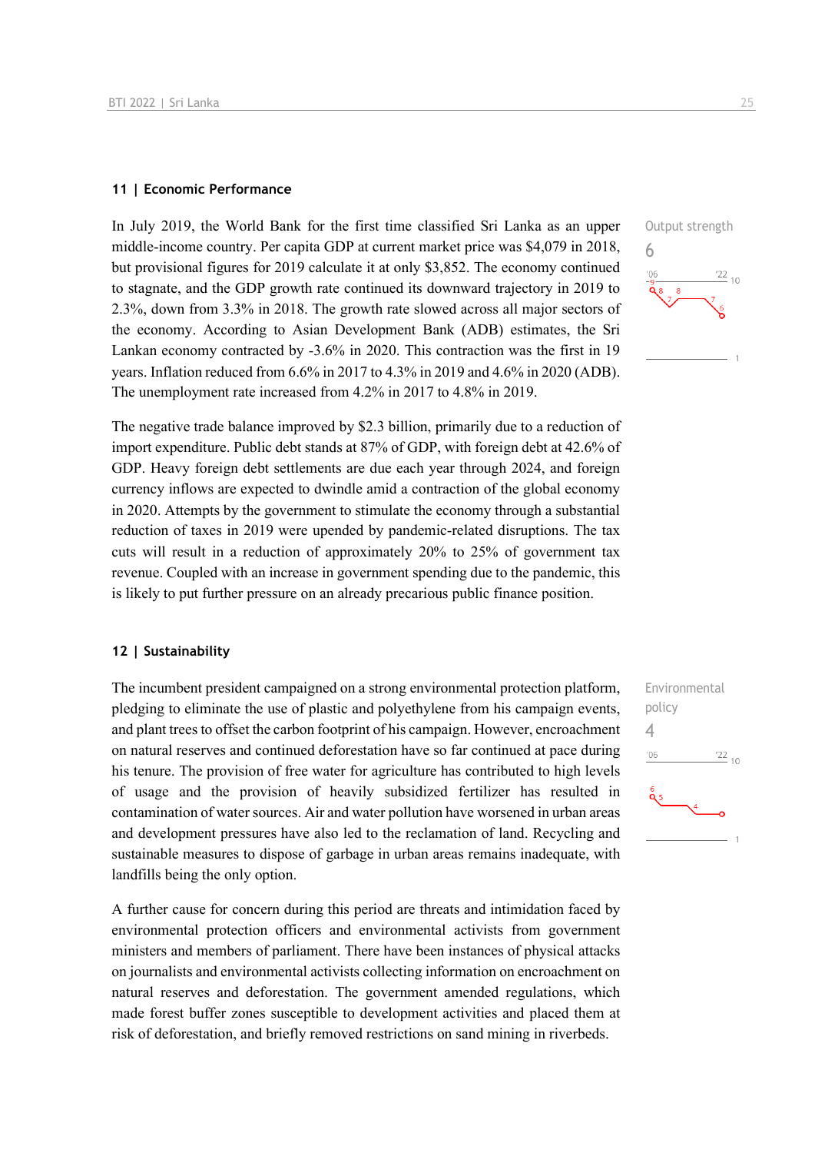#### **11 | Economic Performance**

In July 2019, the World Bank for the first time classified Sri Lanka as an upper middle-income country. Per capita GDP at current market price was \$4,079 in 2018, but provisional figures for 2019 calculate it at only \$3,852. The economy continued to stagnate, and the GDP growth rate continued its downward trajectory in 2019 to 2.3%, down from 3.3% in 2018. The growth rate slowed across all major sectors of the economy. According to Asian Development Bank (ADB) estimates, the Sri Lankan economy contracted by -3.6% in 2020. This contraction was the first in 19 years. Inflation reduced from 6.6% in 2017 to 4.3% in 2019 and 4.6% in 2020 (ADB). The unemployment rate increased from 4.2% in 2017 to 4.8% in 2019.

The negative trade balance improved by \$2.3 billion, primarily due to a reduction of import expenditure. Public debt stands at 87% of GDP, with foreign debt at 42.6% of GDP. Heavy foreign debt settlements are due each year through 2024, and foreign currency inflows are expected to dwindle amid a contraction of the global economy in 2020. Attempts by the government to stimulate the economy through a substantial reduction of taxes in 2019 were upended by pandemic-related disruptions. The tax cuts will result in a reduction of approximately 20% to 25% of government tax revenue. Coupled with an increase in government spending due to the pandemic, this is likely to put further pressure on an already precarious public finance position.

#### **12 | Sustainability**

The incumbent president campaigned on a strong environmental protection platform, pledging to eliminate the use of plastic and polyethylene from his campaign events, and plant trees to offset the carbon footprint of his campaign. However, encroachment on natural reserves and continued deforestation have so far continued at pace during his tenure. The provision of free water for agriculture has contributed to high levels of usage and the provision of heavily subsidized fertilizer has resulted in contamination of water sources. Air and water pollution have worsened in urban areas and development pressures have also led to the reclamation of land. Recycling and sustainable measures to dispose of garbage in urban areas remains inadequate, with landfills being the only option.

A further cause for concern during this period are threats and intimidation faced by environmental protection officers and environmental activists from government ministers and members of parliament. There have been instances of physical attacks on journalists and environmental activists collecting information on encroachment on natural reserves and deforestation. The government amended regulations, which made forest buffer zones susceptible to development activities and placed them at risk of deforestation, and briefly removed restrictions on sand mining in riverbeds.



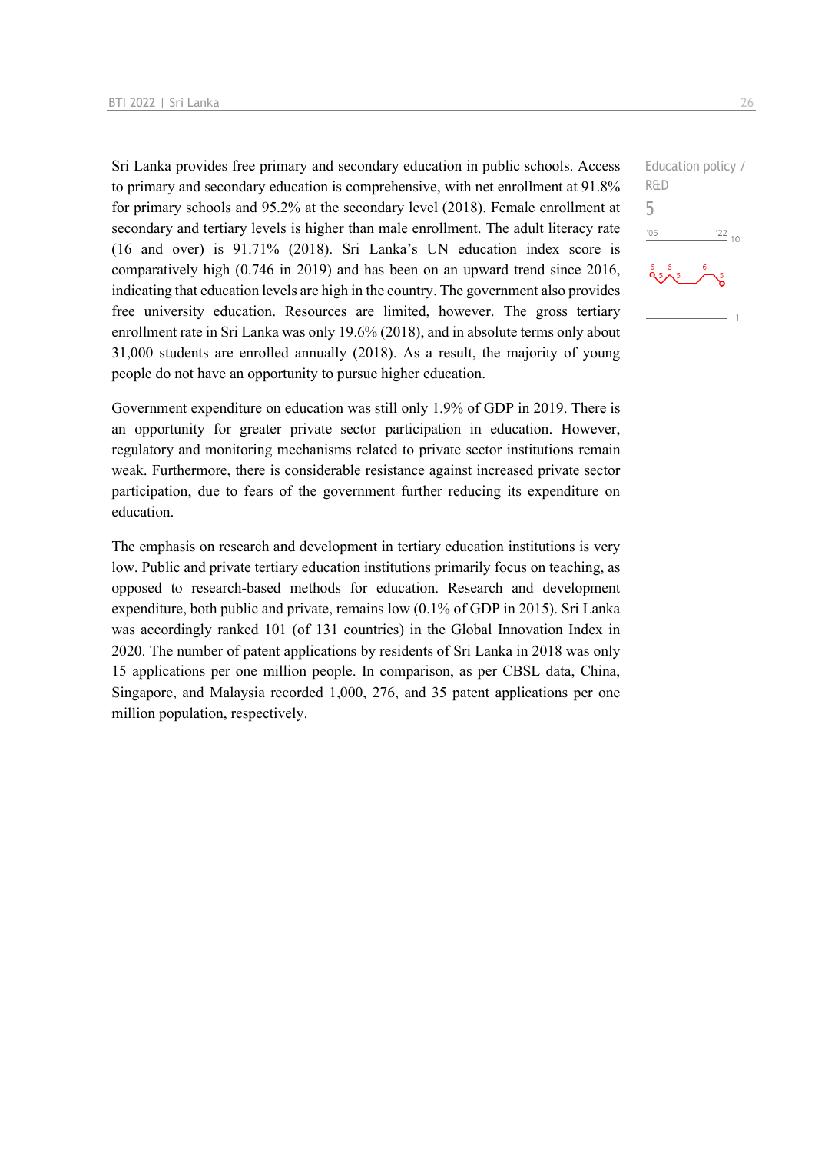Sri Lanka provides free primary and secondary education in public schools. Access to primary and secondary education is comprehensive, with net enrollment at 91.8% for primary schools and 95.2% at the secondary level (2018). Female enrollment at secondary and tertiary levels is higher than male enrollment. The adult literacy rate (16 and over) is 91.71% (2018). Sri Lanka's UN education index score is comparatively high (0.746 in 2019) and has been on an upward trend since 2016, indicating that education levels are high in the country. The government also provides free university education. Resources are limited, however. The gross tertiary enrollment rate in Sri Lanka was only 19.6% (2018), and in absolute terms only about 31,000 students are enrolled annually (2018). As a result, the majority of young people do not have an opportunity to pursue higher education.

Government expenditure on education was still only 1.9% of GDP in 2019. There is an opportunity for greater private sector participation in education. However, regulatory and monitoring mechanisms related to private sector institutions remain weak. Furthermore, there is considerable resistance against increased private sector participation, due to fears of the government further reducing its expenditure on education.

The emphasis on research and development in tertiary education institutions is very low. Public and private tertiary education institutions primarily focus on teaching, as opposed to research-based methods for education. Research and development expenditure, both public and private, remains low (0.1% of GDP in 2015). Sri Lanka was accordingly ranked 101 (of 131 countries) in the Global Innovation Index in 2020. The number of patent applications by residents of Sri Lanka in 2018 was only 15 applications per one million people. In comparison, as per CBSL data, China, Singapore, and Malaysia recorded 1,000, 276, and 35 patent applications per one million population, respectively.

Education policy / R&D 5 $-06$  $\frac{22}{10}$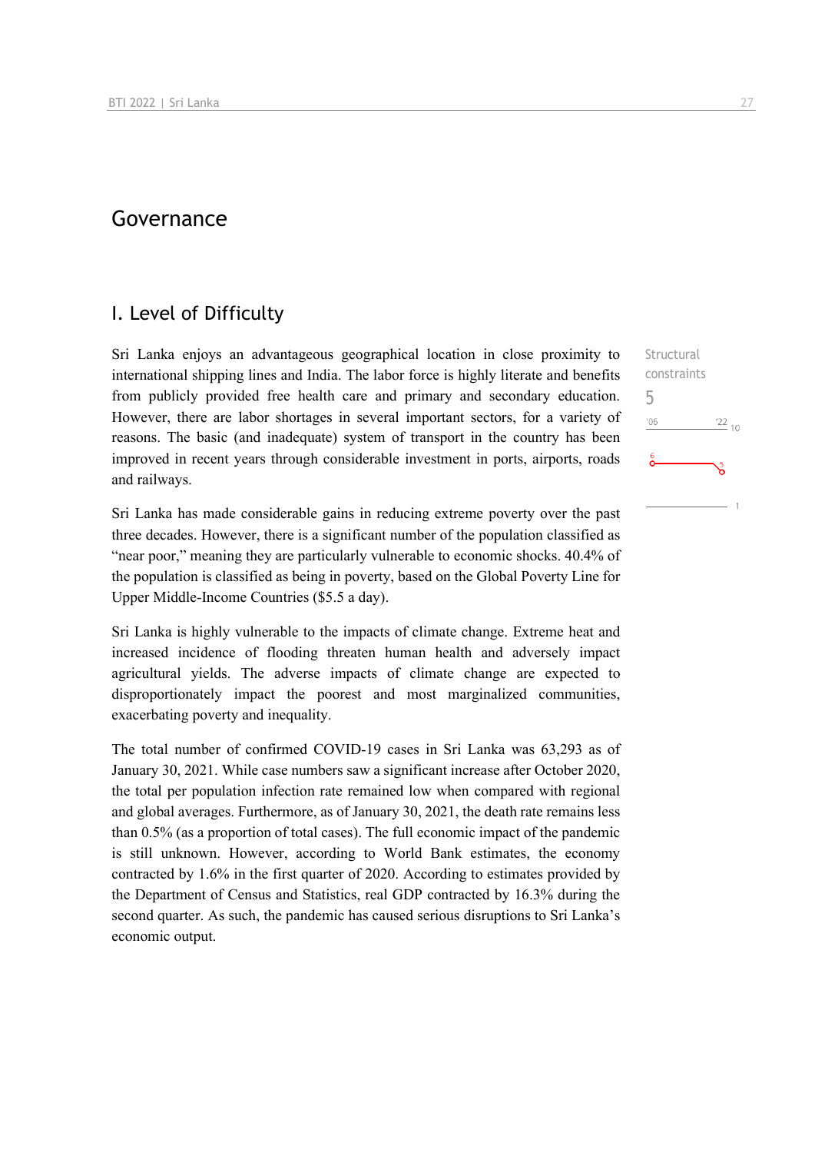## Governance

## I. Level of Difficulty

Sri Lanka enjoys an advantageous geographical location in close proximity to international shipping lines and India. The labor force is highly literate and benefits from publicly provided free health care and primary and secondary education. However, there are labor shortages in several important sectors, for a variety of reasons. The basic (and inadequate) system of transport in the country has been improved in recent years through considerable investment in ports, airports, roads and railways.

Sri Lanka has made considerable gains in reducing extreme poverty over the past three decades. However, there is a significant number of the population classified as "near poor," meaning they are particularly vulnerable to economic shocks. 40.4% of the population is classified as being in poverty, based on the Global Poverty Line for Upper Middle-Income Countries (\$5.5 a day).

Sri Lanka is highly vulnerable to the impacts of climate change. Extreme heat and increased incidence of flooding threaten human health and adversely impact agricultural yields. The adverse impacts of climate change are expected to disproportionately impact the poorest and most marginalized communities, exacerbating poverty and inequality.

The total number of confirmed COVID-19 cases in Sri Lanka was 63,293 as of January 30, 2021. While case numbers saw a significant increase after October 2020, the total per population infection rate remained low when compared with regional and global averages. Furthermore, as of January 30, 2021, the death rate remains less than 0.5% (as a proportion of total cases). The full economic impact of the pandemic is still unknown. However, according to World Bank estimates, the economy contracted by 1.6% in the first quarter of 2020. According to estimates provided by the Department of Census and Statistics, real GDP contracted by 16.3% during the second quarter. As such, the pandemic has caused serious disruptions to Sri Lanka's economic output.

**Structural** constraints 5 $n<sub>6</sub>$  $^{22}$  10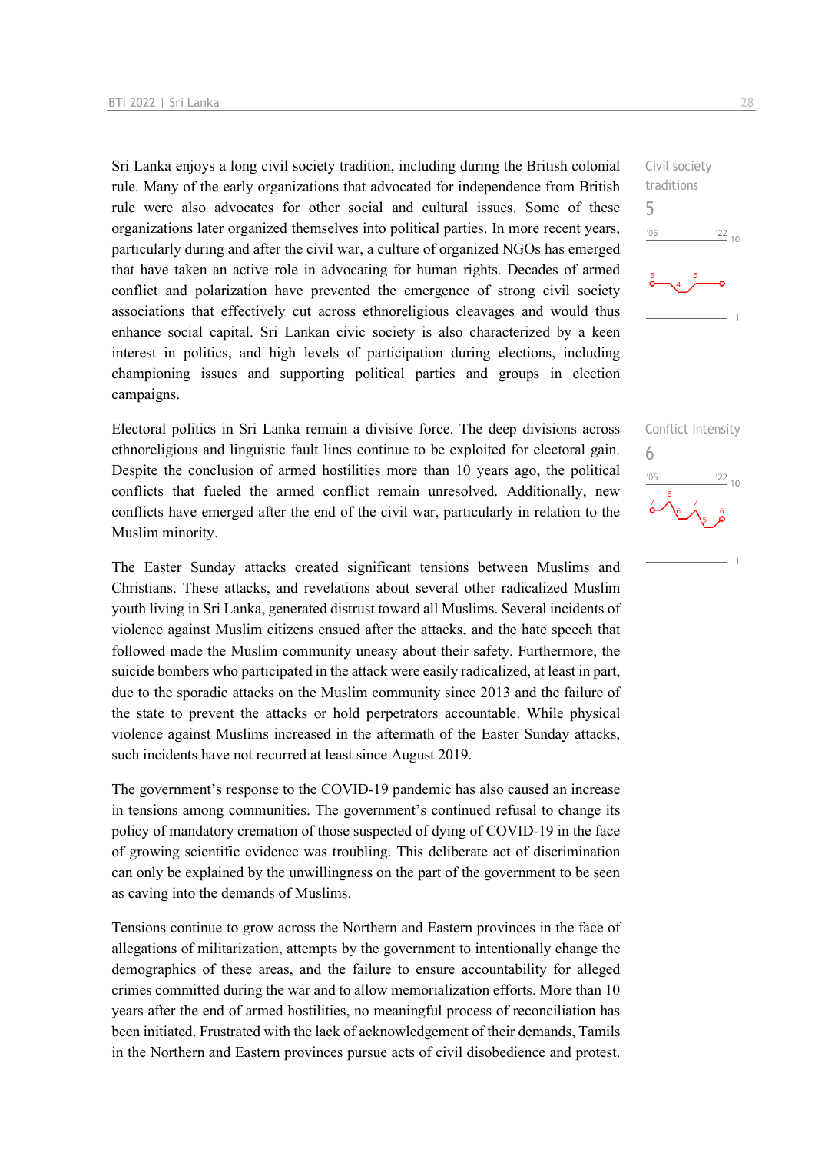Sri Lanka enjoys a long civil society tradition, including during the British colonial rule. Many of the early organizations that advocated for independence from British rule were also advocates for other social and cultural issues. Some of these organizations later organized themselves into political parties. In more recent years, particularly during and after the civil war, a culture of organized NGOs has emerged that have taken an active role in advocating for human rights. Decades of armed conflict and polarization have prevented the emergence of strong civil society associations that effectively cut across ethnoreligious cleavages and would thus enhance social capital. Sri Lankan civic society is also characterized by a keen interest in politics, and high levels of participation during elections, including championing issues and supporting political parties and groups in election campaigns.

Electoral politics in Sri Lanka remain a divisive force. The deep divisions across ethnoreligious and linguistic fault lines continue to be exploited for electoral gain. Despite the conclusion of armed hostilities more than 10 years ago, the political conflicts that fueled the armed conflict remain unresolved. Additionally, new conflicts have emerged after the end of the civil war, particularly in relation to the Muslim minority.

The Easter Sunday attacks created significant tensions between Muslims and Christians. These attacks, and revelations about several other radicalized Muslim youth living in Sri Lanka, generated distrust toward all Muslims. Several incidents of violence against Muslim citizens ensued after the attacks, and the hate speech that followed made the Muslim community uneasy about their safety. Furthermore, the suicide bombers who participated in the attack were easily radicalized, at least in part, due to the sporadic attacks on the Muslim community since 2013 and the failure of the state to prevent the attacks or hold perpetrators accountable. While physical violence against Muslims increased in the aftermath of the Easter Sunday attacks, such incidents have not recurred at least since August 2019.

The government's response to the COVID-19 pandemic has also caused an increase in tensions among communities. The government's continued refusal to change its policy of mandatory cremation of those suspected of dying of COVID-19 in the face of growing scientific evidence was troubling. This deliberate act of discrimination can only be explained by the unwillingness on the part of the government to be seen as caving into the demands of Muslims.

Tensions continue to grow across the Northern and Eastern provinces in the face of allegations of militarization, attempts by the government to intentionally change the demographics of these areas, and the failure to ensure accountability for alleged crimes committed during the war and to allow memorialization efforts. More than 10 years after the end of armed hostilities, no meaningful process of reconciliation has been initiated. Frustrated with the lack of acknowledgement of their demands, Tamils in the Northern and Eastern provinces pursue acts of civil disobedience and protest.

5

Conflict intensity 6 $\frac{22}{10}$  $^{\prime}06$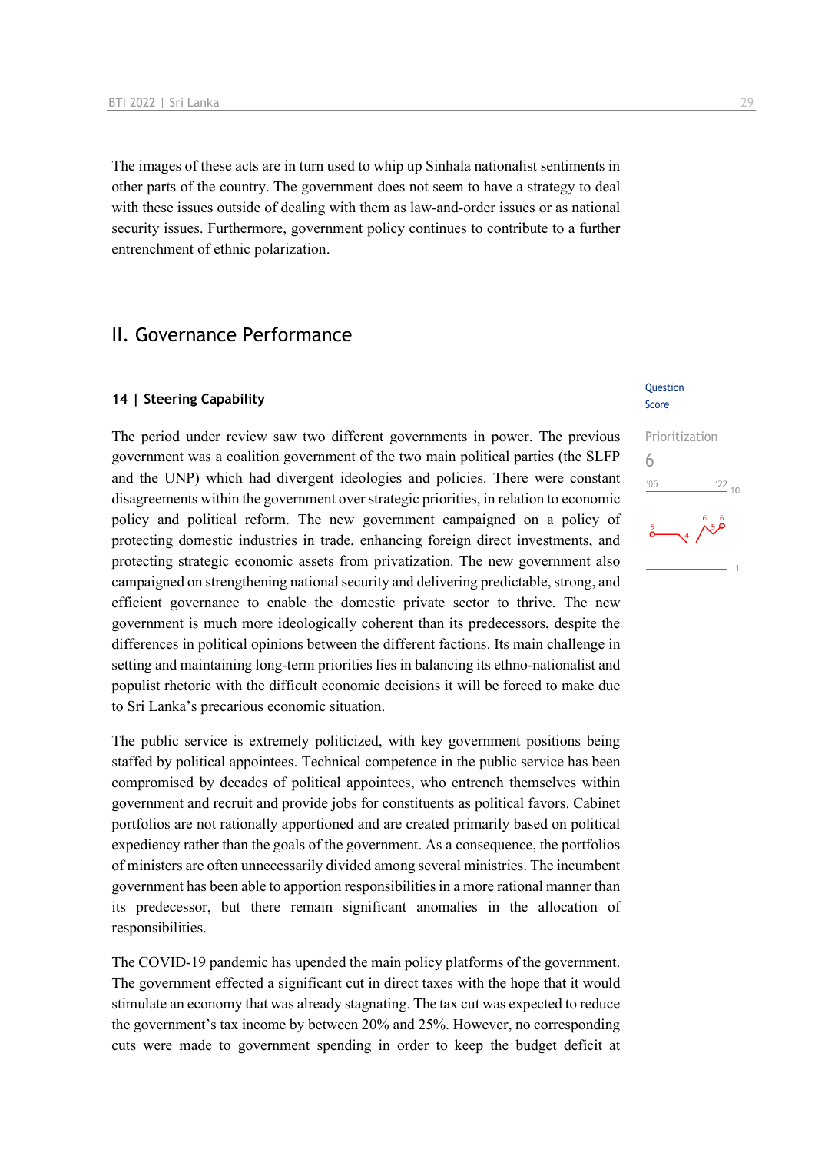The images of these acts are in turn used to whip up Sinhala nationalist sentiments in other parts of the country. The government does not seem to have a strategy to deal with these issues outside of dealing with them as law-and-order issues or as national security issues. Furthermore, government policy continues to contribute to a further entrenchment of ethnic polarization.

## II. Governance Performance

#### **14 | Steering Capability**

The period under review saw two different governments in power. The previous government was a coalition government of the two main political parties (the SLFP and the UNP) which had divergent ideologies and policies. There were constant disagreements within the government over strategic priorities, in relation to economic policy and political reform. The new government campaigned on a policy of protecting domestic industries in trade, enhancing foreign direct investments, and protecting strategic economic assets from privatization. The new government also campaigned on strengthening national security and delivering predictable, strong, and efficient governance to enable the domestic private sector to thrive. The new government is much more ideologically coherent than its predecessors, despite the differences in political opinions between the different factions. Its main challenge in setting and maintaining long-term priorities lies in balancing its ethno-nationalist and populist rhetoric with the difficult economic decisions it will be forced to make due to Sri Lanka's precarious economic situation.

The public service is extremely politicized, with key government positions being staffed by political appointees. Technical competence in the public service has been compromised by decades of political appointees, who entrench themselves within government and recruit and provide jobs for constituents as political favors. Cabinet portfolios are not rationally apportioned and are created primarily based on political expediency rather than the goals of the government. As a consequence, the portfolios of ministers are often unnecessarily divided among several ministries. The incumbent government has been able to apportion responsibilities in a more rational manner than its predecessor, but there remain significant anomalies in the allocation of responsibilities.

The COVID-19 pandemic has upended the main policy platforms of the government. The government effected a significant cut in direct taxes with the hope that it would stimulate an economy that was already stagnating. The tax cut was expected to reduce the government's tax income by between 20% and 25%. However, no corresponding cuts were made to government spending in order to keep the budget deficit at

#### **Ouestion** Score

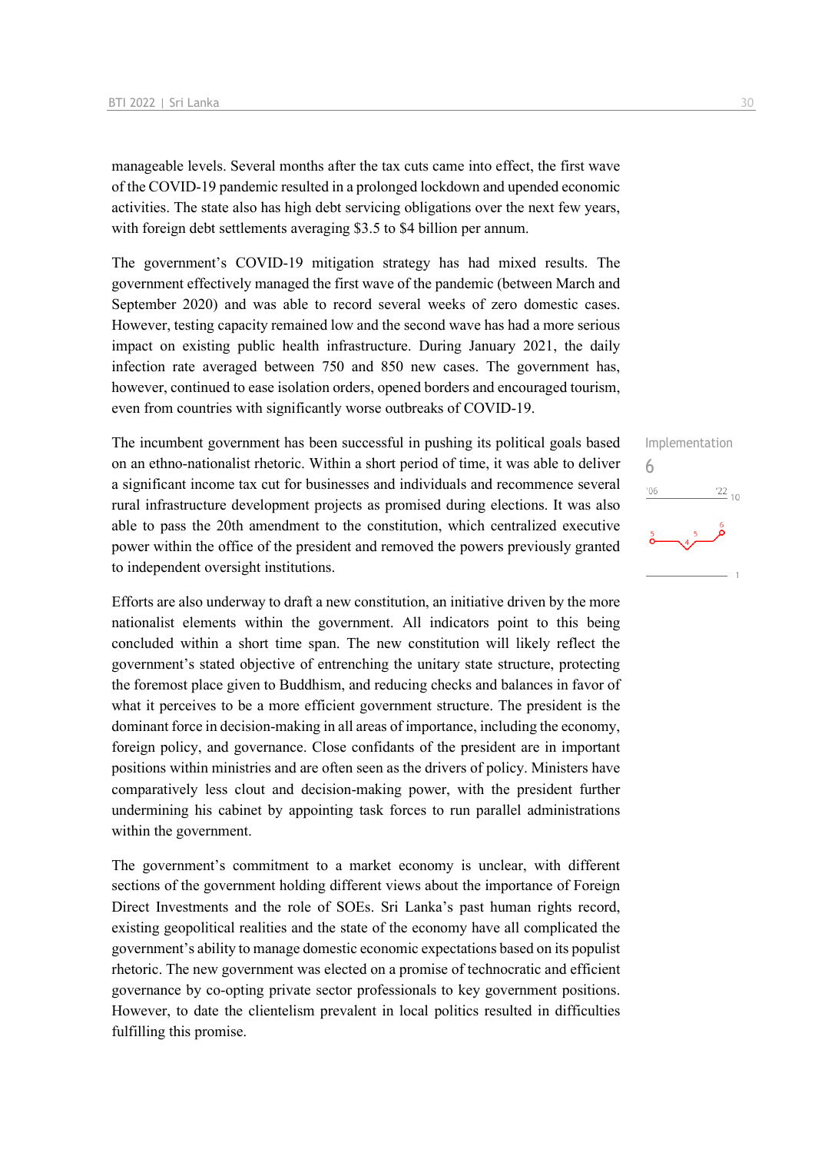manageable levels. Several months after the tax cuts came into effect, the first wave of the COVID-19 pandemic resulted in a prolonged lockdown and upended economic activities. The state also has high debt servicing obligations over the next few years, with foreign debt settlements averaging \$3.5 to \$4 billion per annum.

The government's COVID-19 mitigation strategy has had mixed results. The government effectively managed the first wave of the pandemic (between March and September 2020) and was able to record several weeks of zero domestic cases. However, testing capacity remained low and the second wave has had a more serious impact on existing public health infrastructure. During January 2021, the daily infection rate averaged between 750 and 850 new cases. The government has, however, continued to ease isolation orders, opened borders and encouraged tourism, even from countries with significantly worse outbreaks of COVID-19.

The incumbent government has been successful in pushing its political goals based on an ethno-nationalist rhetoric. Within a short period of time, it was able to deliver a significant income tax cut for businesses and individuals and recommence several rural infrastructure development projects as promised during elections. It was also able to pass the 20th amendment to the constitution, which centralized executive power within the office of the president and removed the powers previously granted to independent oversight institutions.

Efforts are also underway to draft a new constitution, an initiative driven by the more nationalist elements within the government. All indicators point to this being concluded within a short time span. The new constitution will likely reflect the government's stated objective of entrenching the unitary state structure, protecting the foremost place given to Buddhism, and reducing checks and balances in favor of what it perceives to be a more efficient government structure. The president is the dominant force in decision-making in all areas of importance, including the economy, foreign policy, and governance. Close confidants of the president are in important positions within ministries and are often seen as the drivers of policy. Ministers have comparatively less clout and decision-making power, with the president further undermining his cabinet by appointing task forces to run parallel administrations within the government.

The government's commitment to a market economy is unclear, with different sections of the government holding different views about the importance of Foreign Direct Investments and the role of SOEs. Sri Lanka's past human rights record, existing geopolitical realities and the state of the economy have all complicated the government's ability to manage domestic economic expectations based on its populist rhetoric. The new government was elected on a promise of technocratic and efficient governance by co-opting private sector professionals to key government positions. However, to date the clientelism prevalent in local politics resulted in difficulties fulfilling this promise.

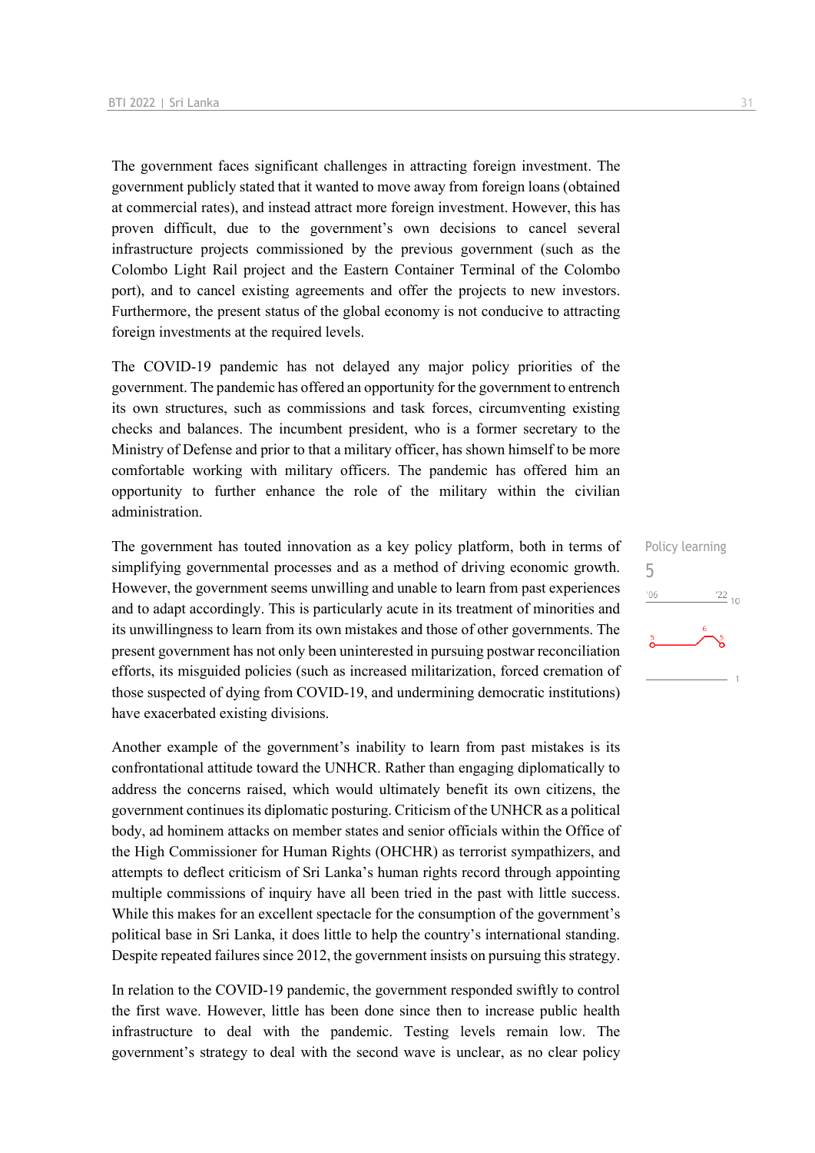The government faces significant challenges in attracting foreign investment. The government publicly stated that it wanted to move away from foreign loans (obtained at commercial rates), and instead attract more foreign investment. However, this has proven difficult, due to the government's own decisions to cancel several infrastructure projects commissioned by the previous government (such as the Colombo Light Rail project and the Eastern Container Terminal of the Colombo port), and to cancel existing agreements and offer the projects to new investors. Furthermore, the present status of the global economy is not conducive to attracting foreign investments at the required levels.

The COVID-19 pandemic has not delayed any major policy priorities of the government. The pandemic has offered an opportunity for the government to entrench its own structures, such as commissions and task forces, circumventing existing checks and balances. The incumbent president, who is a former secretary to the Ministry of Defense and prior to that a military officer, has shown himself to be more comfortable working with military officers. The pandemic has offered him an opportunity to further enhance the role of the military within the civilian administration.

The government has touted innovation as a key policy platform, both in terms of simplifying governmental processes and as a method of driving economic growth. However, the government seems unwilling and unable to learn from past experiences and to adapt accordingly. This is particularly acute in its treatment of minorities and its unwillingness to learn from its own mistakes and those of other governments. The present government has not only been uninterested in pursuing postwar reconciliation efforts, its misguided policies (such as increased militarization, forced cremation of those suspected of dying from COVID-19, and undermining democratic institutions) have exacerbated existing divisions.

Another example of the government's inability to learn from past mistakes is its confrontational attitude toward the UNHCR. Rather than engaging diplomatically to address the concerns raised, which would ultimately benefit its own citizens, the government continues its diplomatic posturing. Criticism of the UNHCR as a political body, ad hominem attacks on member states and senior officials within the Office of the High Commissioner for Human Rights (OHCHR) as terrorist sympathizers, and attempts to deflect criticism of Sri Lanka's human rights record through appointing multiple commissions of inquiry have all been tried in the past with little success. While this makes for an excellent spectacle for the consumption of the government's political base in Sri Lanka, it does little to help the country's international standing. Despite repeated failures since 2012, the government insists on pursuing this strategy.

In relation to the COVID-19 pandemic, the government responded swiftly to control the first wave. However, little has been done since then to increase public health infrastructure to deal with the pandemic. Testing levels remain low. The government's strategy to deal with the second wave is unclear, as no clear policy

Policy learning 5 $06'$  $\frac{22}{10}$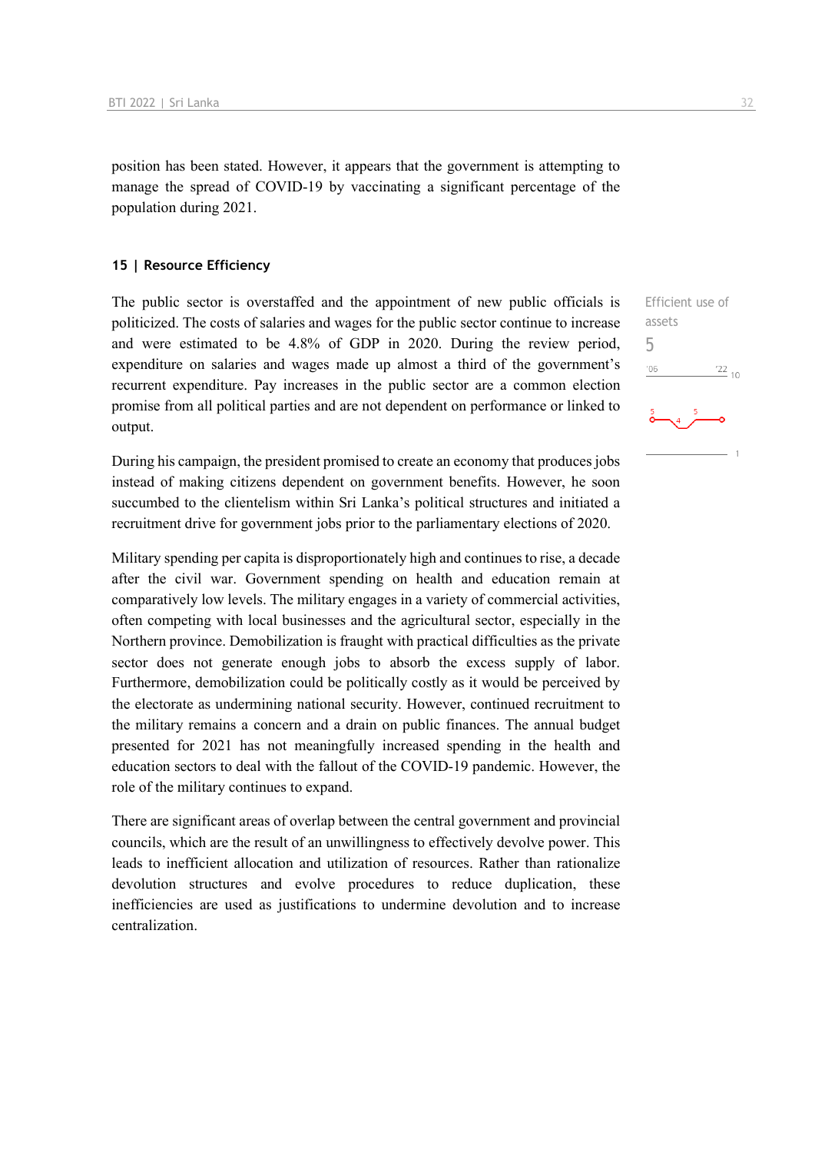position has been stated. However, it appears that the government is attempting to manage the spread of COVID-19 by vaccinating a significant percentage of the population during 2021.

#### **15 | Resource Efficiency**

The public sector is overstaffed and the appointment of new public officials is politicized. The costs of salaries and wages for the public sector continue to increase and were estimated to be 4.8% of GDP in 2020. During the review period, expenditure on salaries and wages made up almost a third of the government's recurrent expenditure. Pay increases in the public sector are a common election promise from all political parties and are not dependent on performance or linked to output.

During his campaign, the president promised to create an economy that produces jobs instead of making citizens dependent on government benefits. However, he soon succumbed to the clientelism within Sri Lanka's political structures and initiated a recruitment drive for government jobs prior to the parliamentary elections of 2020.

Military spending per capita is disproportionately high and continues to rise, a decade after the civil war. Government spending on health and education remain at comparatively low levels. The military engages in a variety of commercial activities, often competing with local businesses and the agricultural sector, especially in the Northern province. Demobilization is fraught with practical difficulties as the private sector does not generate enough jobs to absorb the excess supply of labor. Furthermore, demobilization could be politically costly as it would be perceived by the electorate as undermining national security. However, continued recruitment to the military remains a concern and a drain on public finances. The annual budget presented for 2021 has not meaningfully increased spending in the health and education sectors to deal with the fallout of the COVID-19 pandemic. However, the role of the military continues to expand.

There are significant areas of overlap between the central government and provincial councils, which are the result of an unwillingness to effectively devolve power. This leads to inefficient allocation and utilization of resources. Rather than rationalize devolution structures and evolve procedures to reduce duplication, these inefficiencies are used as justifications to undermine devolution and to increase centralization.

Efficient use of assets 5 $^{\prime}06$  $\frac{22}{10}$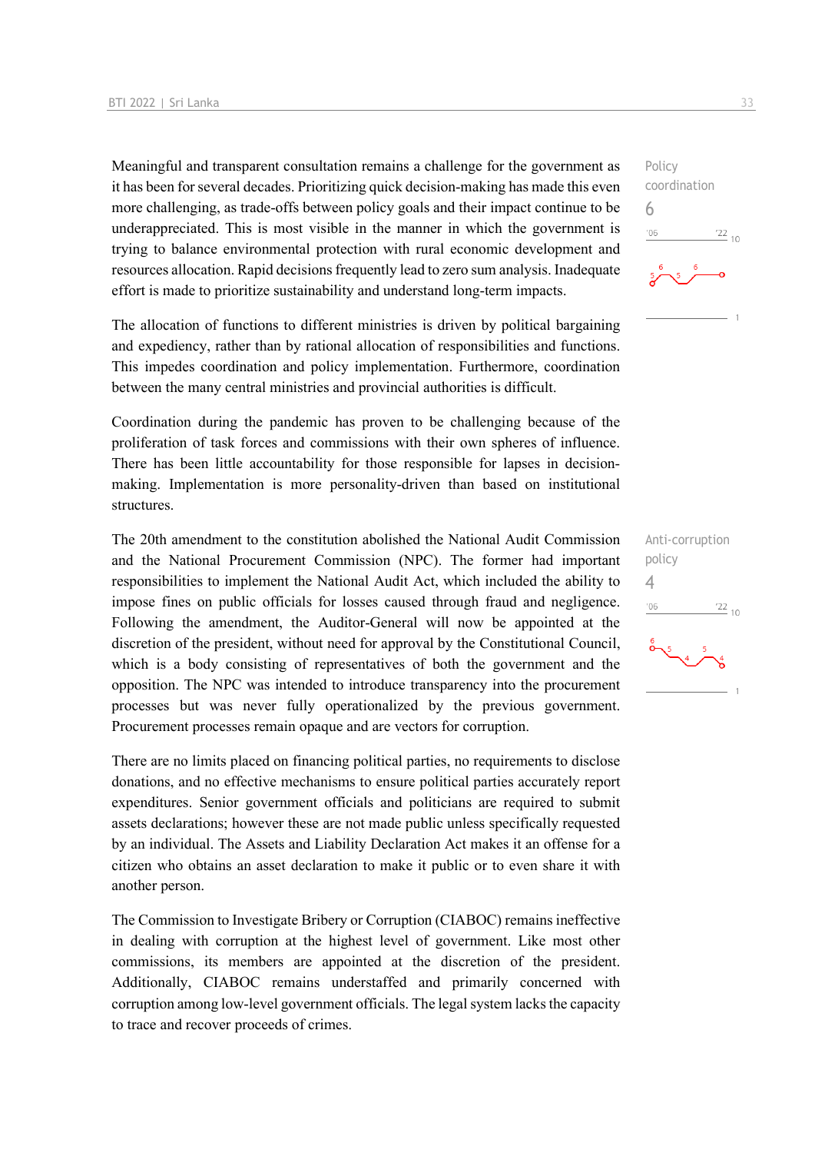Meaningful and transparent consultation remains a challenge for the government as it has been for several decades. Prioritizing quick decision-making has made this even more challenging, as trade-offs between policy goals and their impact continue to be underappreciated. This is most visible in the manner in which the government is trying to balance environmental protection with rural economic development and resources allocation. Rapid decisions frequently lead to zero sum analysis. Inadequate effort is made to prioritize sustainability and understand long-term impacts.

The allocation of functions to different ministries is driven by political bargaining and expediency, rather than by rational allocation of responsibilities and functions. This impedes coordination and policy implementation. Furthermore, coordination between the many central ministries and provincial authorities is difficult.

Coordination during the pandemic has proven to be challenging because of the proliferation of task forces and commissions with their own spheres of influence. There has been little accountability for those responsible for lapses in decisionmaking. Implementation is more personality-driven than based on institutional structures.

The 20th amendment to the constitution abolished the National Audit Commission and the National Procurement Commission (NPC). The former had important responsibilities to implement the National Audit Act, which included the ability to impose fines on public officials for losses caused through fraud and negligence. Following the amendment, the Auditor-General will now be appointed at the discretion of the president, without need for approval by the Constitutional Council, which is a body consisting of representatives of both the government and the opposition. The NPC was intended to introduce transparency into the procurement processes but was never fully operationalized by the previous government. Procurement processes remain opaque and are vectors for corruption.

There are no limits placed on financing political parties, no requirements to disclose donations, and no effective mechanisms to ensure political parties accurately report expenditures. Senior government officials and politicians are required to submit assets declarations; however these are not made public unless specifically requested by an individual. The Assets and Liability Declaration Act makes it an offense for a citizen who obtains an asset declaration to make it public or to even share it with another person.

The Commission to Investigate Bribery or Corruption (CIABOC) remains ineffective in dealing with corruption at the highest level of government. Like most other commissions, its members are appointed at the discretion of the president. Additionally, CIABOC remains understaffed and primarily concerned with corruption among low-level government officials. The legal system lacks the capacity to trace and recover proceeds of crimes.

 $\frac{22}{10}$ 

Policy

6

 $-06$ 

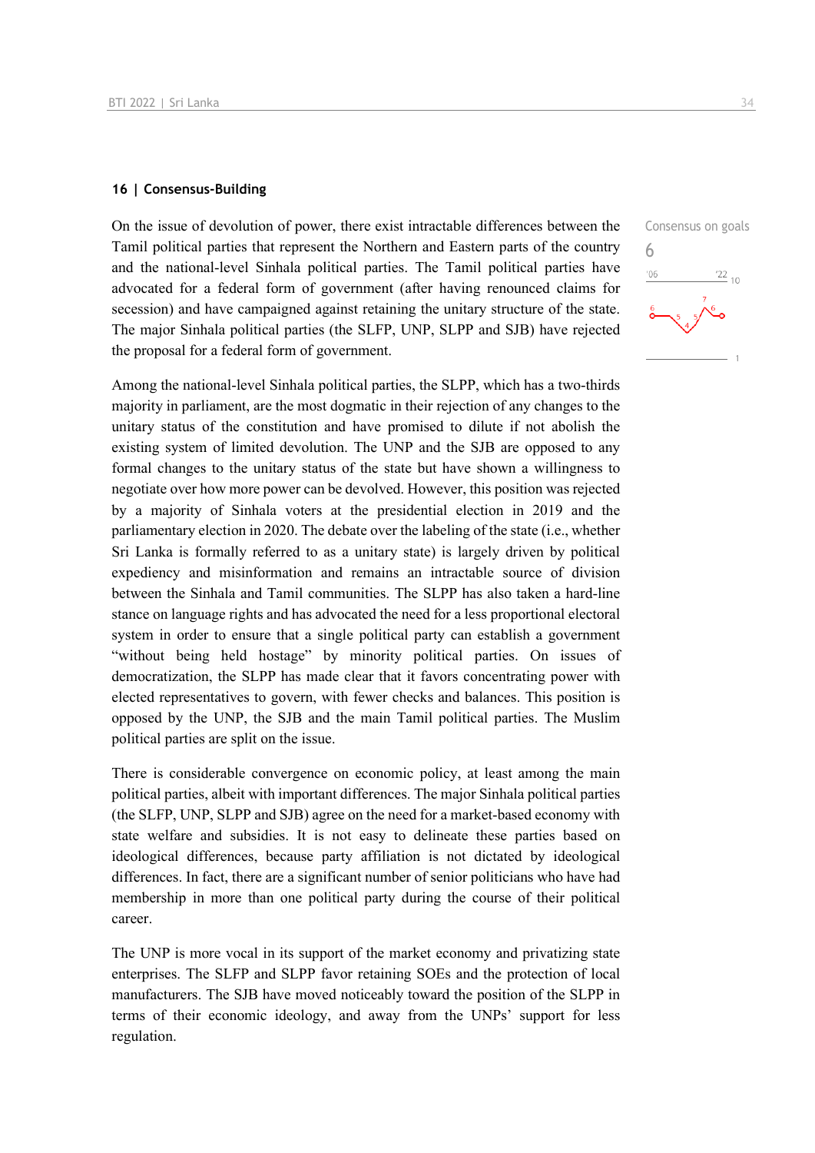#### **16 | Consensus-Building**

On the issue of devolution of power, there exist intractable differences between the Tamil political parties that represent the Northern and Eastern parts of the country and the national-level Sinhala political parties. The Tamil political parties have advocated for a federal form of government (after having renounced claims for secession) and have campaigned against retaining the unitary structure of the state. The major Sinhala political parties (the SLFP, UNP, SLPP and SJB) have rejected the proposal for a federal form of government.

Among the national-level Sinhala political parties, the SLPP, which has a two-thirds majority in parliament, are the most dogmatic in their rejection of any changes to the unitary status of the constitution and have promised to dilute if not abolish the existing system of limited devolution. The UNP and the SJB are opposed to any formal changes to the unitary status of the state but have shown a willingness to negotiate over how more power can be devolved. However, this position was rejected by a majority of Sinhala voters at the presidential election in 2019 and the parliamentary election in 2020. The debate over the labeling of the state (i.e., whether Sri Lanka is formally referred to as a unitary state) is largely driven by political expediency and misinformation and remains an intractable source of division between the Sinhala and Tamil communities. The SLPP has also taken a hard-line stance on language rights and has advocated the need for a less proportional electoral system in order to ensure that a single political party can establish a government "without being held hostage" by minority political parties. On issues of democratization, the SLPP has made clear that it favors concentrating power with elected representatives to govern, with fewer checks and balances. This position is opposed by the UNP, the SJB and the main Tamil political parties. The Muslim political parties are split on the issue.

There is considerable convergence on economic policy, at least among the main political parties, albeit with important differences. The major Sinhala political parties (the SLFP, UNP, SLPP and SJB) agree on the need for a market-based economy with state welfare and subsidies. It is not easy to delineate these parties based on ideological differences, because party affiliation is not dictated by ideological differences. In fact, there are a significant number of senior politicians who have had membership in more than one political party during the course of their political career.

The UNP is more vocal in its support of the market economy and privatizing state enterprises. The SLFP and SLPP favor retaining SOEs and the protection of local manufacturers. The SJB have moved noticeably toward the position of the SLPP in terms of their economic ideology, and away from the UNPs' support for less regulation.

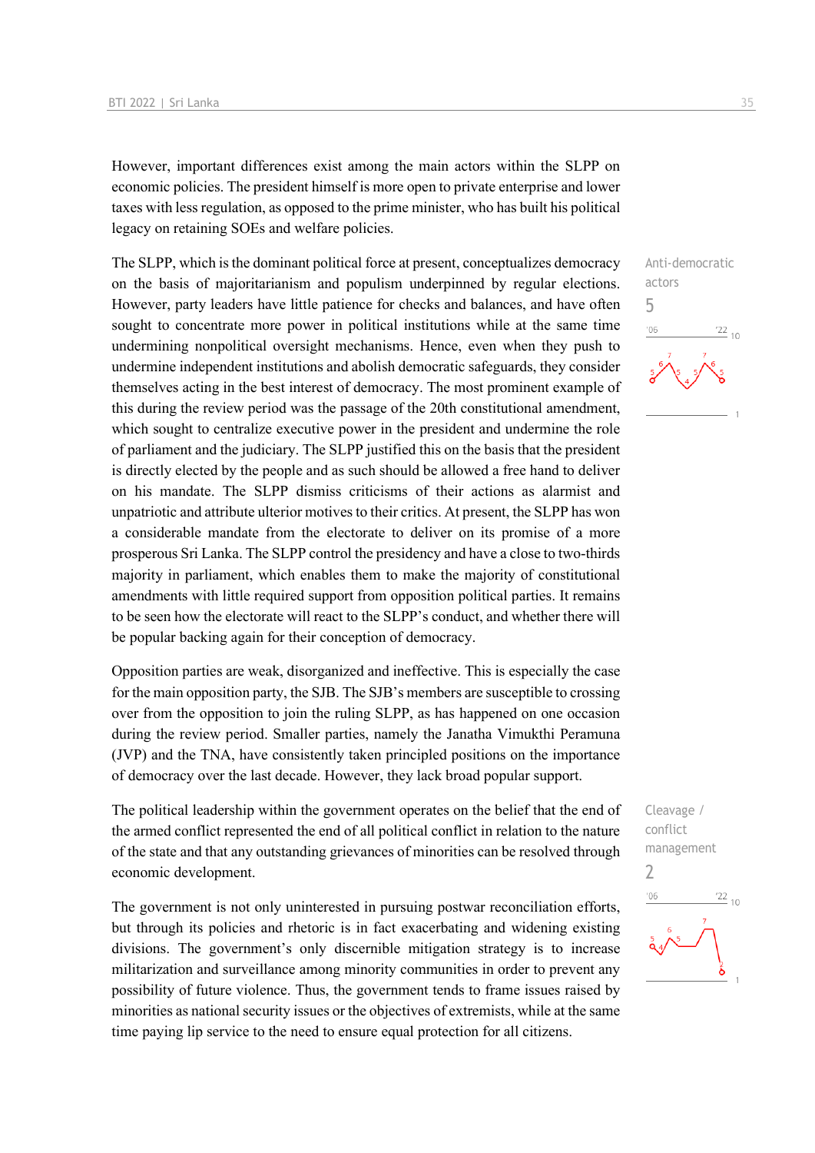However, important differences exist among the main actors within the SLPP on economic policies. The president himself is more open to private enterprise and lower taxes with less regulation, as opposed to the prime minister, who has built his political legacy on retaining SOEs and welfare policies.

The SLPP, which is the dominant political force at present, conceptualizes democracy on the basis of majoritarianism and populism underpinned by regular elections. However, party leaders have little patience for checks and balances, and have often sought to concentrate more power in political institutions while at the same time undermining nonpolitical oversight mechanisms. Hence, even when they push to undermine independent institutions and abolish democratic safeguards, they consider themselves acting in the best interest of democracy. The most prominent example of this during the review period was the passage of the 20th constitutional amendment, which sought to centralize executive power in the president and undermine the role of parliament and the judiciary. The SLPP justified this on the basis that the president is directly elected by the people and as such should be allowed a free hand to deliver on his mandate. The SLPP dismiss criticisms of their actions as alarmist and unpatriotic and attribute ulterior motives to their critics. At present, the SLPP has won a considerable mandate from the electorate to deliver on its promise of a more prosperous Sri Lanka. The SLPP control the presidency and have a close to two-thirds majority in parliament, which enables them to make the majority of constitutional amendments with little required support from opposition political parties. It remains to be seen how the electorate will react to the SLPP's conduct, and whether there will be popular backing again for their conception of democracy.

Opposition parties are weak, disorganized and ineffective. This is especially the case for the main opposition party, the SJB. The SJB's members are susceptible to crossing over from the opposition to join the ruling SLPP, as has happened on one occasion during the review period. Smaller parties, namely the Janatha Vimukthi Peramuna (JVP) and the TNA, have consistently taken principled positions on the importance of democracy over the last decade. However, they lack broad popular support.

The political leadership within the government operates on the belief that the end of the armed conflict represented the end of all political conflict in relation to the nature of the state and that any outstanding grievances of minorities can be resolved through economic development.

The government is not only uninterested in pursuing postwar reconciliation efforts, but through its policies and rhetoric is in fact exacerbating and widening existing divisions. The government's only discernible mitigation strategy is to increase militarization and surveillance among minority communities in order to prevent any possibility of future violence. Thus, the government tends to frame issues raised by minorities as national security issues or the objectives of extremists, while at the same time paying lip service to the need to ensure equal protection for all citizens.



Cleavage / conflict management 2 $\frac{22}{10}$  $-06$ δ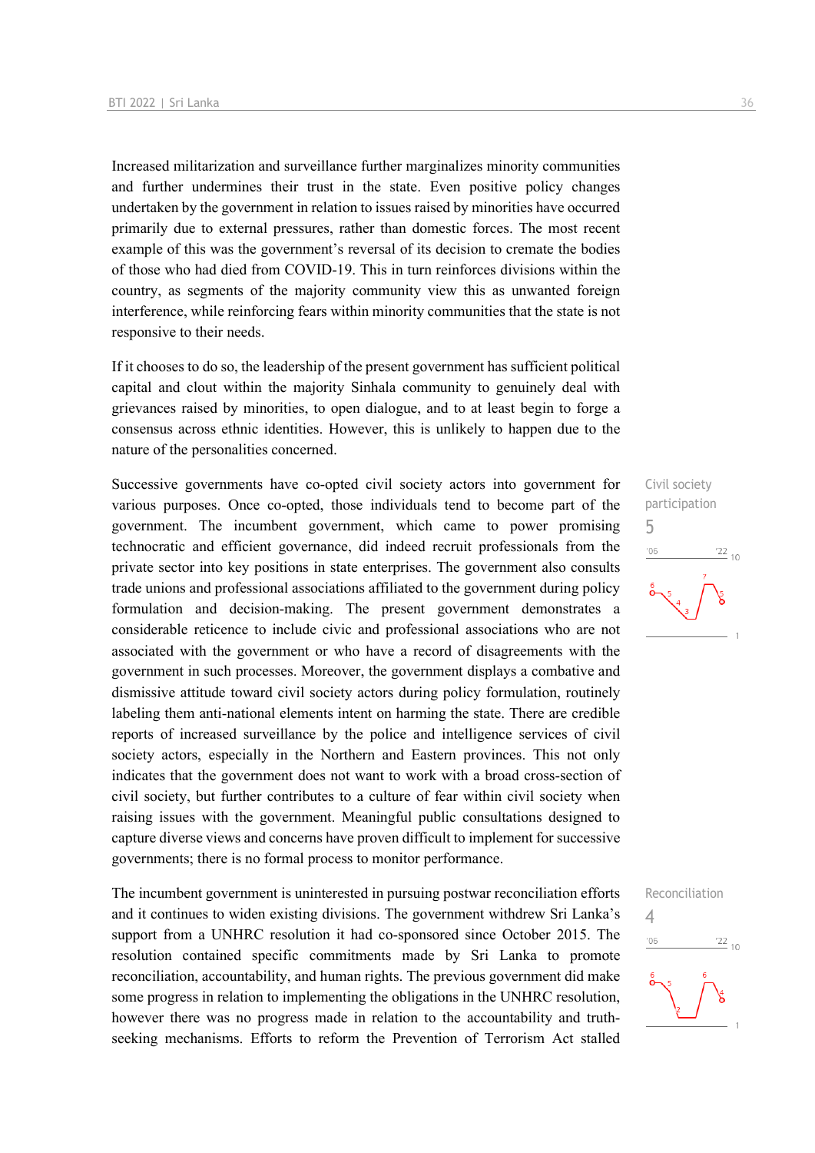Increased militarization and surveillance further marginalizes minority communities and further undermines their trust in the state. Even positive policy changes undertaken by the government in relation to issues raised by minorities have occurred primarily due to external pressures, rather than domestic forces. The most recent example of this was the government's reversal of its decision to cremate the bodies of those who had died from COVID-19. This in turn reinforces divisions within the country, as segments of the majority community view this as unwanted foreign interference, while reinforcing fears within minority communities that the state is not responsive to their needs.

If it chooses to do so, the leadership of the present government has sufficient political capital and clout within the majority Sinhala community to genuinely deal with grievances raised by minorities, to open dialogue, and to at least begin to forge a consensus across ethnic identities. However, this is unlikely to happen due to the nature of the personalities concerned.

Successive governments have co-opted civil society actors into government for various purposes. Once co-opted, those individuals tend to become part of the government. The incumbent government, which came to power promising technocratic and efficient governance, did indeed recruit professionals from the private sector into key positions in state enterprises. The government also consults trade unions and professional associations affiliated to the government during policy formulation and decision-making. The present government demonstrates a considerable reticence to include civic and professional associations who are not associated with the government or who have a record of disagreements with the government in such processes. Moreover, the government displays a combative and dismissive attitude toward civil society actors during policy formulation, routinely labeling them anti-national elements intent on harming the state. There are credible reports of increased surveillance by the police and intelligence services of civil society actors, especially in the Northern and Eastern provinces. This not only indicates that the government does not want to work with a broad cross-section of civil society, but further contributes to a culture of fear within civil society when raising issues with the government. Meaningful public consultations designed to capture diverse views and concerns have proven difficult to implement for successive governments; there is no formal process to monitor performance.

The incumbent government is uninterested in pursuing postwar reconciliation efforts and it continues to widen existing divisions. The government withdrew Sri Lanka's support from a UNHRC resolution it had co-sponsored since October 2015. The resolution contained specific commitments made by Sri Lanka to promote reconciliation, accountability, and human rights. The previous government did make some progress in relation to implementing the obligations in the UNHRC resolution, however there was no progress made in relation to the accountability and truthseeking mechanisms. Efforts to reform the Prevention of Terrorism Act stalled



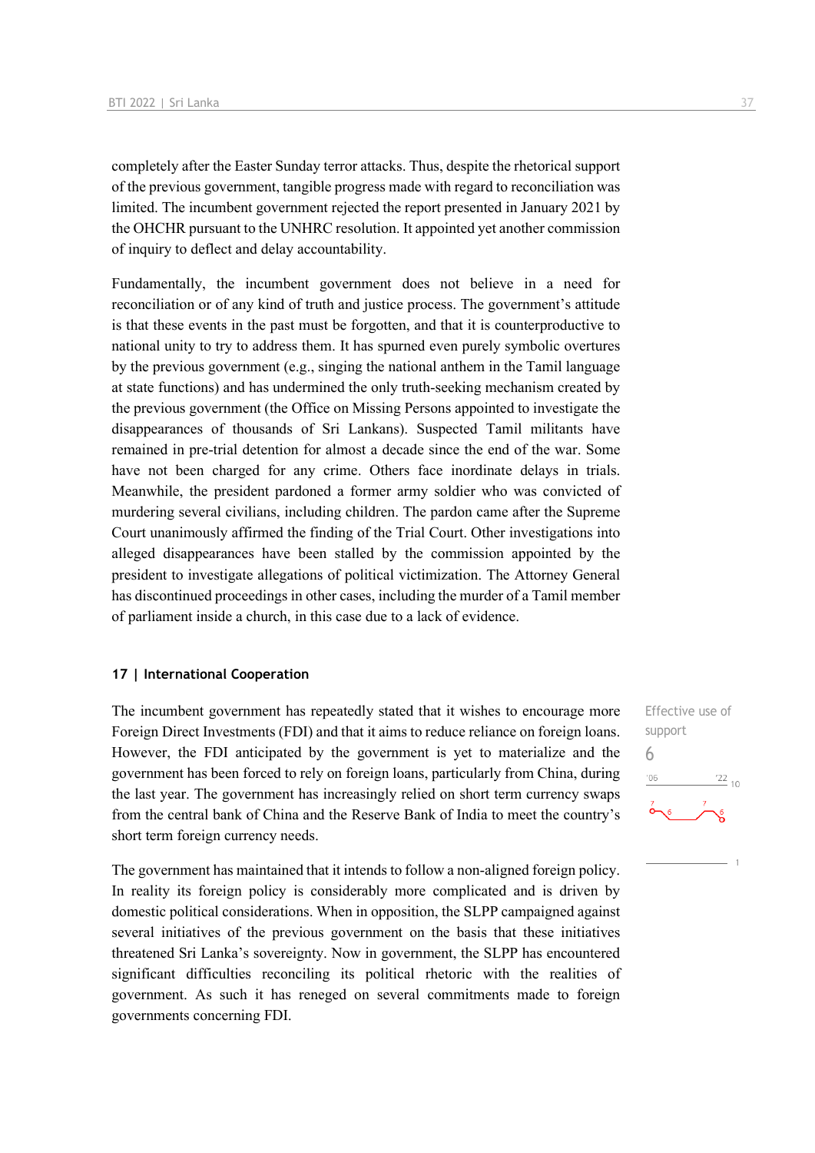completely after the Easter Sunday terror attacks. Thus, despite the rhetorical support of the previous government, tangible progress made with regard to reconciliation was limited. The incumbent government rejected the report presented in January 2021 by the OHCHR pursuant to the UNHRC resolution. It appointed yet another commission of inquiry to deflect and delay accountability.

Fundamentally, the incumbent government does not believe in a need for reconciliation or of any kind of truth and justice process. The government's attitude is that these events in the past must be forgotten, and that it is counterproductive to national unity to try to address them. It has spurned even purely symbolic overtures by the previous government (e.g., singing the national anthem in the Tamil language at state functions) and has undermined the only truth-seeking mechanism created by the previous government (the Office on Missing Persons appointed to investigate the disappearances of thousands of Sri Lankans). Suspected Tamil militants have remained in pre-trial detention for almost a decade since the end of the war. Some have not been charged for any crime. Others face inordinate delays in trials. Meanwhile, the president pardoned a former army soldier who was convicted of murdering several civilians, including children. The pardon came after the Supreme Court unanimously affirmed the finding of the Trial Court. Other investigations into alleged disappearances have been stalled by the commission appointed by the president to investigate allegations of political victimization. The Attorney General has discontinued proceedings in other cases, including the murder of a Tamil member of parliament inside a church, in this case due to a lack of evidence.

#### **17 | International Cooperation**

The incumbent government has repeatedly stated that it wishes to encourage more Foreign Direct Investments (FDI) and that it aims to reduce reliance on foreign loans. However, the FDI anticipated by the government is yet to materialize and the government has been forced to rely on foreign loans, particularly from China, during the last year. The government has increasingly relied on short term currency swaps from the central bank of China and the Reserve Bank of India to meet the country's short term foreign currency needs.

The government has maintained that it intends to follow a non-aligned foreign policy. In reality its foreign policy is considerably more complicated and is driven by domestic political considerations. When in opposition, the SLPP campaigned against several initiatives of the previous government on the basis that these initiatives threatened Sri Lanka's sovereignty. Now in government, the SLPP has encountered significant difficulties reconciling its political rhetoric with the realities of government. As such it has reneged on several commitments made to foreign governments concerning FDI.

Effective use of support 6 $\frac{22}{10}$  $106$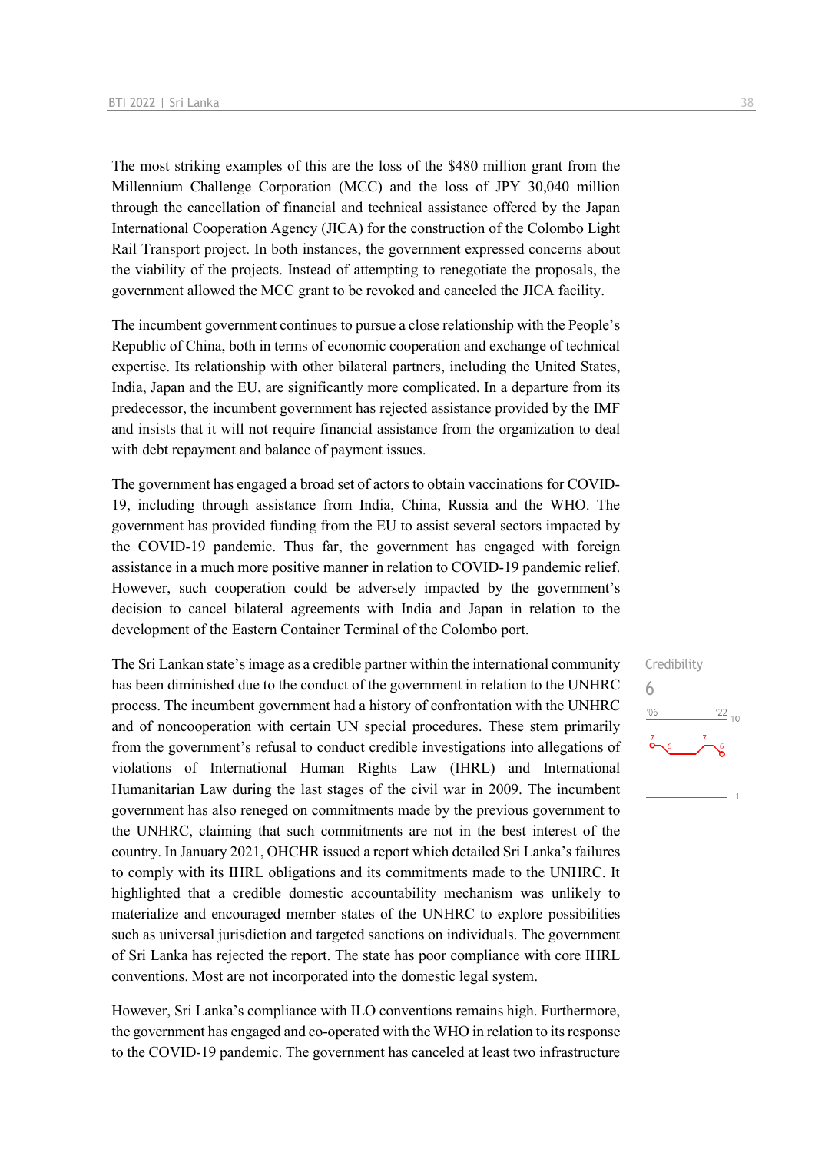The most striking examples of this are the loss of the \$480 million grant from the Millennium Challenge Corporation (MCC) and the loss of JPY 30,040 million through the cancellation of financial and technical assistance offered by the Japan International Cooperation Agency (JICA) for the construction of the Colombo Light Rail Transport project. In both instances, the government expressed concerns about the viability of the projects. Instead of attempting to renegotiate the proposals, the government allowed the MCC grant to be revoked and canceled the JICA facility.

The incumbent government continues to pursue a close relationship with the People's Republic of China, both in terms of economic cooperation and exchange of technical expertise. Its relationship with other bilateral partners, including the United States, India, Japan and the EU, are significantly more complicated. In a departure from its predecessor, the incumbent government has rejected assistance provided by the IMF and insists that it will not require financial assistance from the organization to deal with debt repayment and balance of payment issues.

The government has engaged a broad set of actors to obtain vaccinations for COVID-19, including through assistance from India, China, Russia and the WHO. The government has provided funding from the EU to assist several sectors impacted by the COVID-19 pandemic. Thus far, the government has engaged with foreign assistance in a much more positive manner in relation to COVID-19 pandemic relief. However, such cooperation could be adversely impacted by the government's decision to cancel bilateral agreements with India and Japan in relation to the development of the Eastern Container Terminal of the Colombo port.

The Sri Lankan state's image as a credible partner within the international community has been diminished due to the conduct of the government in relation to the UNHRC process. The incumbent government had a history of confrontation with the UNHRC and of noncooperation with certain UN special procedures. These stem primarily from the government's refusal to conduct credible investigations into allegations of violations of International Human Rights Law (IHRL) and International Humanitarian Law during the last stages of the civil war in 2009. The incumbent government has also reneged on commitments made by the previous government to the UNHRC, claiming that such commitments are not in the best interest of the country. In January 2021, OHCHR issued a report which detailed Sri Lanka's failures to comply with its IHRL obligations and its commitments made to the UNHRC. It highlighted that a credible domestic accountability mechanism was unlikely to materialize and encouraged member states of the UNHRC to explore possibilities such as universal jurisdiction and targeted sanctions on individuals. The government of Sri Lanka has rejected the report. The state has poor compliance with core IHRL conventions. Most are not incorporated into the domestic legal system.

However, Sri Lanka's compliance with ILO conventions remains high. Furthermore, the government has engaged and co-operated with the WHO in relation to its response to the COVID-19 pandemic. The government has canceled at least two infrastructure Credibility 6 $\frac{22}{10}$  $-06$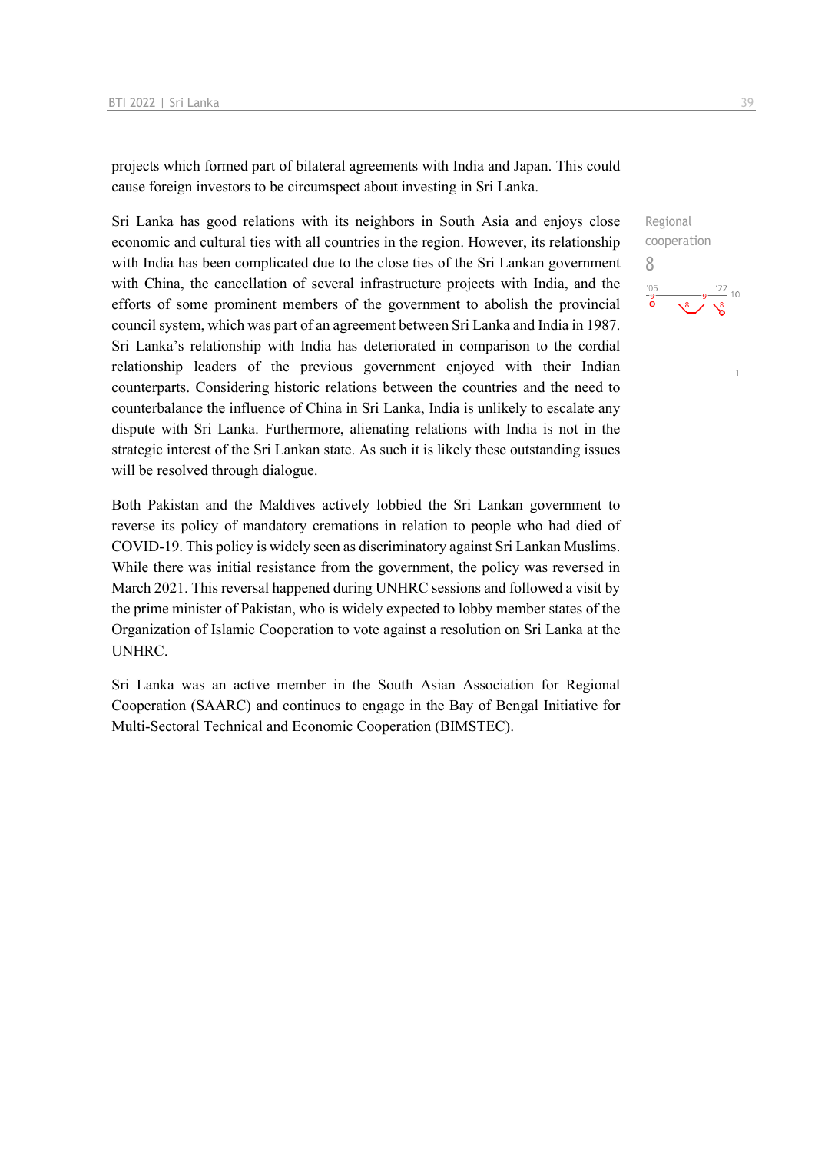projects which formed part of bilateral agreements with India and Japan. This could cause foreign investors to be circumspect about investing in Sri Lanka.

Sri Lanka has good relations with its neighbors in South Asia and enjoys close economic and cultural ties with all countries in the region. However, its relationship with India has been complicated due to the close ties of the Sri Lankan government with China, the cancellation of several infrastructure projects with India, and the efforts of some prominent members of the government to abolish the provincial council system, which was part of an agreement between Sri Lanka and India in 1987. Sri Lanka's relationship with India has deteriorated in comparison to the cordial relationship leaders of the previous government enjoyed with their Indian counterparts. Considering historic relations between the countries and the need to counterbalance the influence of China in Sri Lanka, India is unlikely to escalate any dispute with Sri Lanka. Furthermore, alienating relations with India is not in the strategic interest of the Sri Lankan state. As such it is likely these outstanding issues will be resolved through dialogue.

Both Pakistan and the Maldives actively lobbied the Sri Lankan government to reverse its policy of mandatory cremations in relation to people who had died of COVID-19. This policy is widely seen as discriminatory against Sri Lankan Muslims. While there was initial resistance from the government, the policy was reversed in March 2021. This reversal happened during UNHRC sessions and followed a visit by the prime minister of Pakistan, who is widely expected to lobby member states of the Organization of Islamic Cooperation to vote against a resolution on Sri Lanka at the UNHRC.

Sri Lanka was an active member in the South Asian Association for Regional Cooperation (SAARC) and continues to engage in the Bay of Bengal Initiative for Multi-Sectoral Technical and Economic Cooperation (BIMSTEC).

Regional cooperation 8 $\frac{22}{10}$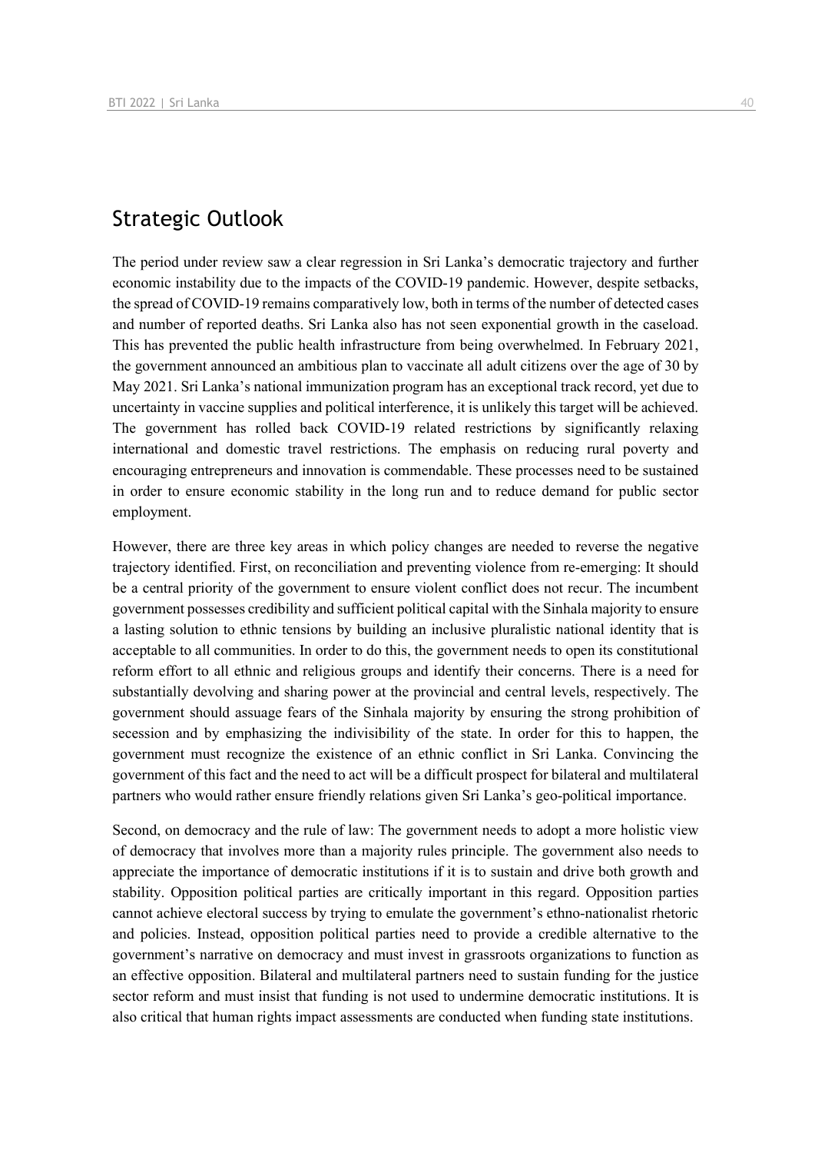## Strategic Outlook

The period under review saw a clear regression in Sri Lanka's democratic trajectory and further economic instability due to the impacts of the COVID-19 pandemic. However, despite setbacks, the spread of COVID-19 remains comparatively low, both in terms of the number of detected cases and number of reported deaths. Sri Lanka also has not seen exponential growth in the caseload. This has prevented the public health infrastructure from being overwhelmed. In February 2021, the government announced an ambitious plan to vaccinate all adult citizens over the age of 30 by May 2021. Sri Lanka's national immunization program has an exceptional track record, yet due to uncertainty in vaccine supplies and political interference, it is unlikely this target will be achieved. The government has rolled back COVID-19 related restrictions by significantly relaxing international and domestic travel restrictions. The emphasis on reducing rural poverty and encouraging entrepreneurs and innovation is commendable. These processes need to be sustained in order to ensure economic stability in the long run and to reduce demand for public sector employment.

However, there are three key areas in which policy changes are needed to reverse the negative trajectory identified. First, on reconciliation and preventing violence from re-emerging: It should be a central priority of the government to ensure violent conflict does not recur. The incumbent government possesses credibility and sufficient political capital with the Sinhala majority to ensure a lasting solution to ethnic tensions by building an inclusive pluralistic national identity that is acceptable to all communities. In order to do this, the government needs to open its constitutional reform effort to all ethnic and religious groups and identify their concerns. There is a need for substantially devolving and sharing power at the provincial and central levels, respectively. The government should assuage fears of the Sinhala majority by ensuring the strong prohibition of secession and by emphasizing the indivisibility of the state. In order for this to happen, the government must recognize the existence of an ethnic conflict in Sri Lanka. Convincing the government of this fact and the need to act will be a difficult prospect for bilateral and multilateral partners who would rather ensure friendly relations given Sri Lanka's geo-political importance.

Second, on democracy and the rule of law: The government needs to adopt a more holistic view of democracy that involves more than a majority rules principle. The government also needs to appreciate the importance of democratic institutions if it is to sustain and drive both growth and stability. Opposition political parties are critically important in this regard. Opposition parties cannot achieve electoral success by trying to emulate the government's ethno-nationalist rhetoric and policies. Instead, opposition political parties need to provide a credible alternative to the government's narrative on democracy and must invest in grassroots organizations to function as an effective opposition. Bilateral and multilateral partners need to sustain funding for the justice sector reform and must insist that funding is not used to undermine democratic institutions. It is also critical that human rights impact assessments are conducted when funding state institutions.